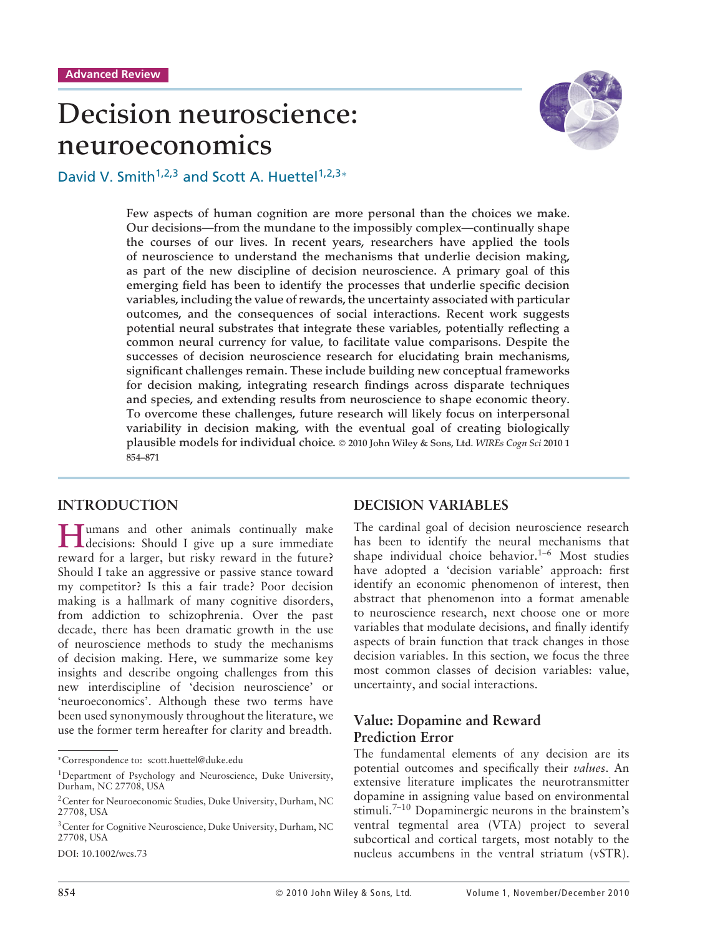# **Decision neuroscience: neuroeconomics**



David V. Smith<sup>1,2,3</sup> and Scott A. Huettel<sup>1,2,3</sup><sup>∗</sup>

**Few aspects of human cognition are more personal than the choices we make. Our decisions—from the mundane to the impossibly complex—continually shape the courses of our lives. In recent years, researchers have applied the tools of neuroscience to understand the mechanisms that underlie decision making, as part of the new discipline of decision neuroscience. A primary goal of this emerging field has been to identify the processes that underlie specific decision variables, including the value of rewards, the uncertainty associated with particular outcomes, and the consequences of social interactions. Recent work suggests potential neural substrates that integrate these variables, potentially reflecting a common neural currency for value, to facilitate value comparisons. Despite the successes of decision neuroscience research for elucidating brain mechanisms, significant challenges remain. These include building new conceptual frameworks for decision making, integrating research findings across disparate techniques and species, and extending results from neuroscience to shape economic theory. To overcome these challenges, future research will likely focus on interpersonal variability in decision making, with the eventual goal of creating biologically plausible models for individual choice. 2010 John Wiley & Sons, Ltd.** *WIREs Cogn Sci* **2010 1 854–871**

## **INTRODUCTION**

**H**umans and other animals continually make decisions: Should I give up a sure immediate reward for a larger, but risky reward in the future? Should I take an aggressive or passive stance toward my competitor? Is this a fair trade? Poor decision making is a hallmark of many cognitive disorders, from addiction to schizophrenia. Over the past decade, there has been dramatic growth in the use of neuroscience methods to study the mechanisms of decision making. Here, we summarize some key insights and describe ongoing challenges from this new interdiscipline of 'decision neuroscience' or 'neuroeconomics'. Although these two terms have been used synonymously throughout the literature, we use the former term hereafter for clarity and breadth.

DOI: 10.1002/wcs.73

#### **DECISION VARIABLES**

The cardinal goal of decision neuroscience research has been to identify the neural mechanisms that shape individual choice behavior.<sup>1-6</sup> Most studies have adopted a 'decision variable' approach: first identify an economic phenomenon of interest, then abstract that phenomenon into a format amenable to neuroscience research, next choose one or more variables that modulate decisions, and finally identify aspects of brain function that track changes in those decision variables. In this section, we focus the three most common classes of decision variables: value, uncertainty, and social interactions.

## **Value: Dopamine and Reward Prediction Error**

The fundamental elements of any decision are its potential outcomes and specifically their *values*. An extensive literature implicates the neurotransmitter dopamine in assigning value based on environmental stimuli.7–10 Dopaminergic neurons in the brainstem's ventral tegmental area (VTA) project to several subcortical and cortical targets, most notably to the nucleus accumbens in the ventral striatum (vSTR).

<sup>∗</sup>Correspondence to: scott.huettel@duke.edu

<sup>1</sup>Department of Psychology and Neuroscience, Duke University, Durham, NC 27708, USA

<sup>&</sup>lt;sup>2</sup> Center for Neuroeconomic Studies, Duke University, Durham, NC 27708, USA

<sup>&</sup>lt;sup>3</sup> Center for Cognitive Neuroscience, Duke University, Durham, NC 27708, USA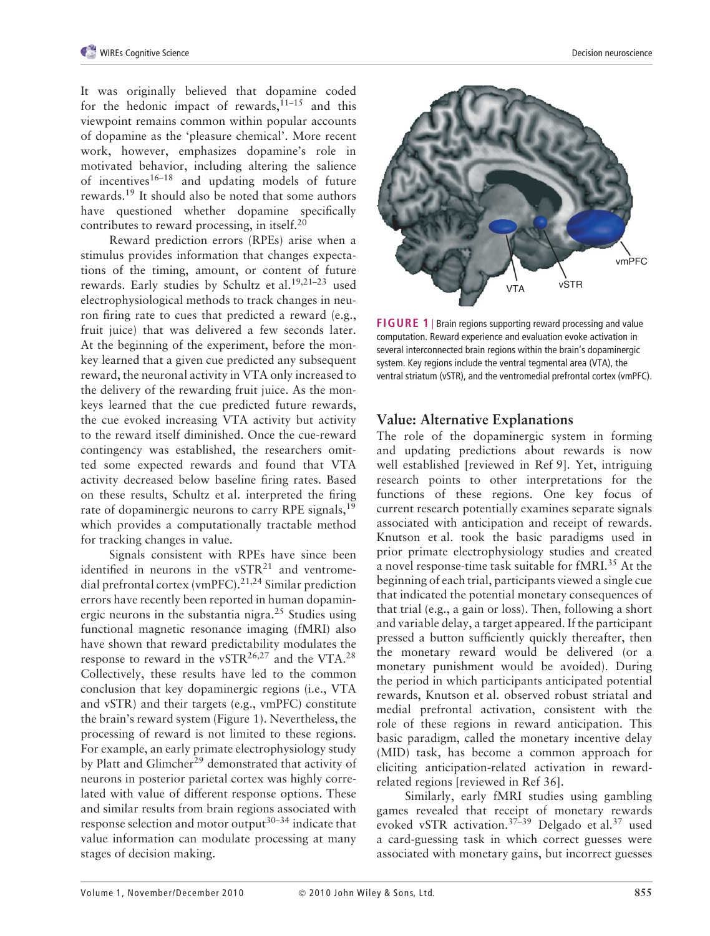It was originally believed that dopamine coded for the hedonic impact of rewards, $11-15$  and this viewpoint remains common within popular accounts of dopamine as the 'pleasure chemical'. More recent work, however, emphasizes dopamine's role in motivated behavior, including altering the salience of incentives $16-18$  and updating models of future rewards.19 It should also be noted that some authors have questioned whether dopamine specifically contributes to reward processing, in itself.20

Reward prediction errors (RPEs) arise when a stimulus provides information that changes expectations of the timing, amount, or content of future rewards. Early studies by Schultz et al.<sup>19,21-23</sup> used electrophysiological methods to track changes in neuron firing rate to cues that predicted a reward (e.g., fruit juice) that was delivered a few seconds later. At the beginning of the experiment, before the monkey learned that a given cue predicted any subsequent reward, the neuronal activity in VTA only increased to the delivery of the rewarding fruit juice. As the monkeys learned that the cue predicted future rewards, the cue evoked increasing VTA activity but activity to the reward itself diminished. Once the cue-reward contingency was established, the researchers omitted some expected rewards and found that VTA activity decreased below baseline firing rates. Based on these results, Schultz et al. interpreted the firing rate of dopaminergic neurons to carry RPE signals,<sup>19</sup> which provides a computationally tractable method for tracking changes in value.

Signals consistent with RPEs have since been identified in neurons in the vSTR<sup>21</sup> and ventromedial prefrontal cortex (vmPFC).<sup>21,24</sup> Similar prediction errors have recently been reported in human dopaminergic neurons in the substantia nigra.<sup>25</sup> Studies using functional magnetic resonance imaging (fMRI) also have shown that reward predictability modulates the response to reward in the vSTR<sup>26,27</sup> and the VTA.<sup>28</sup> Collectively, these results have led to the common conclusion that key dopaminergic regions (i.e., VTA and vSTR) and their targets (e.g., vmPFC) constitute the brain's reward system (Figure 1). Nevertheless, the processing of reward is not limited to these regions. For example, an early primate electrophysiology study by Platt and Glimcher<sup>29</sup> demonstrated that activity of neurons in posterior parietal cortex was highly correlated with value of different response options. These and similar results from brain regions associated with response selection and motor output $30-34$  indicate that value information can modulate processing at many stages of decision making.



**FIGURE 1** | Brain regions supporting reward processing and value computation. Reward experience and evaluation evoke activation in several interconnected brain regions within the brain's dopaminergic system. Key regions include the ventral tegmental area (VTA), the ventral striatum (vSTR), and the ventromedial prefrontal cortex (vmPFC).

## **Value: Alternative Explanations**

The role of the dopaminergic system in forming and updating predictions about rewards is now well established [reviewed in Ref 9]. Yet, intriguing research points to other interpretations for the functions of these regions. One key focus of current research potentially examines separate signals associated with anticipation and receipt of rewards. Knutson et al. took the basic paradigms used in prior primate electrophysiology studies and created a novel response-time task suitable for fMRI.<sup>35</sup> At the beginning of each trial, participants viewed a single cue that indicated the potential monetary consequences of that trial (e.g., a gain or loss). Then, following a short and variable delay, a target appeared. If the participant pressed a button sufficiently quickly thereafter, then the monetary reward would be delivered (or a monetary punishment would be avoided). During the period in which participants anticipated potential rewards, Knutson et al. observed robust striatal and medial prefrontal activation, consistent with the role of these regions in reward anticipation. This basic paradigm, called the monetary incentive delay (MID) task, has become a common approach for eliciting anticipation-related activation in rewardrelated regions [reviewed in Ref 36].

Similarly, early fMRI studies using gambling games revealed that receipt of monetary rewards evoked vSTR activation.<sup>37-39</sup> Delgado et al.<sup>37</sup> used a card-guessing task in which correct guesses were associated with monetary gains, but incorrect guesses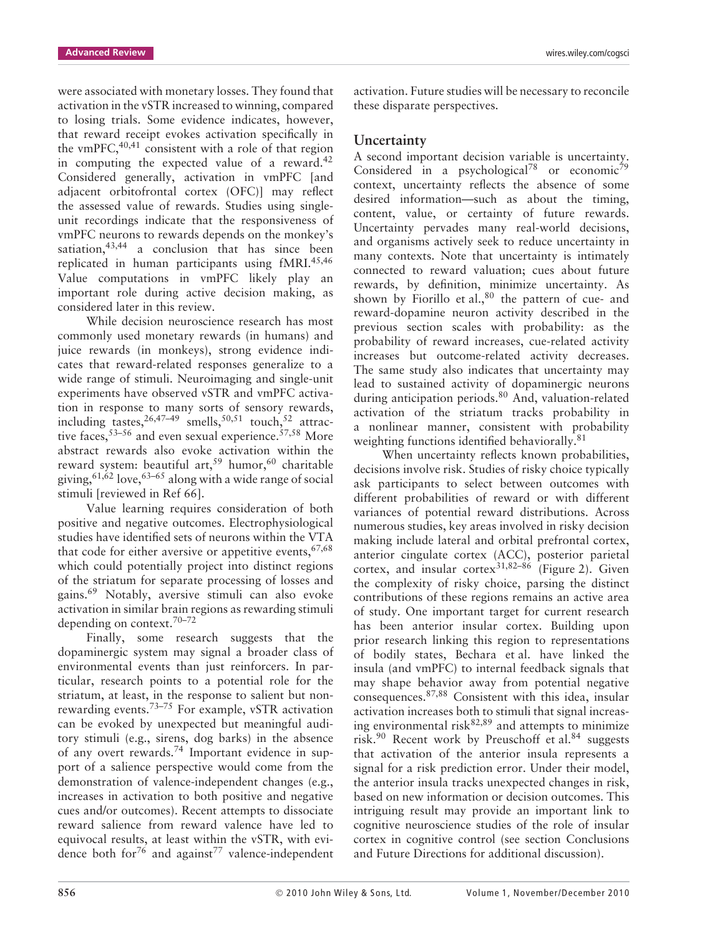were associated with monetary losses. They found that activation in the vSTR increased to winning, compared to losing trials. Some evidence indicates, however, that reward receipt evokes activation specifically in the vmPFC,<sup>40,41</sup> consistent with a role of that region in computing the expected value of a reward. $42$ Considered generally, activation in vmPFC [and adjacent orbitofrontal cortex (OFC)] may reflect the assessed value of rewards. Studies using singleunit recordings indicate that the responsiveness of vmPFC neurons to rewards depends on the monkey's satiation,  $43,44$  a conclusion that has since been replicated in human participants using fMRI.<sup>45,46</sup> Value computations in vmPFC likely play an important role during active decision making, as considered later in this review.

While decision neuroscience research has most commonly used monetary rewards (in humans) and juice rewards (in monkeys), strong evidence indicates that reward-related responses generalize to a wide range of stimuli. Neuroimaging and single-unit experiments have observed vSTR and vmPFC activation in response to many sorts of sensory rewards, including tastes,<sup>26,47–49</sup> smells,<sup>50,51</sup> touch,<sup>52</sup> attractive faces,<sup>53–56</sup> and even sexual experience.<sup>57,58</sup> More abstract rewards also evoke activation within the reward system: beautiful art,<sup>59</sup> humor,<sup>60</sup> charitable giving,  $61,62$  love,  $63-65$  along with a wide range of social stimuli [reviewed in Ref 66].

Value learning requires consideration of both positive and negative outcomes. Electrophysiological studies have identified sets of neurons within the VTA that code for either aversive or appetitive events,  $67,68$ which could potentially project into distinct regions of the striatum for separate processing of losses and gains.69 Notably, aversive stimuli can also evoke activation in similar brain regions as rewarding stimuli depending on context.70–72

Finally, some research suggests that the dopaminergic system may signal a broader class of environmental events than just reinforcers. In particular, research points to a potential role for the striatum, at least, in the response to salient but nonrewarding events.73–75 For example, vSTR activation can be evoked by unexpected but meaningful auditory stimuli (e.g., sirens, dog barks) in the absence of any overt rewards.74 Important evidence in support of a salience perspective would come from the demonstration of valence-independent changes (e.g., increases in activation to both positive and negative cues and/or outcomes). Recent attempts to dissociate reward salience from reward valence have led to equivocal results, at least within the vSTR, with evidence both for<sup>76</sup> and against<sup>77</sup> valence-independent activation. Future studies will be necessary to reconcile these disparate perspectives.

#### **Uncertainty**

A second important decision variable is uncertainty. Considered in a psychological<sup>78</sup> or economic<sup>79</sup> context, uncertainty reflects the absence of some desired information—such as about the timing, content, value, or certainty of future rewards. Uncertainty pervades many real-world decisions, and organisms actively seek to reduce uncertainty in many contexts. Note that uncertainty is intimately connected to reward valuation; cues about future rewards, by definition, minimize uncertainty. As shown by Fiorillo et al., $80$  the pattern of cue- and reward-dopamine neuron activity described in the previous section scales with probability: as the probability of reward increases, cue-related activity increases but outcome-related activity decreases. The same study also indicates that uncertainty may lead to sustained activity of dopaminergic neurons during anticipation periods.<sup>80</sup> And, valuation-related activation of the striatum tracks probability in a nonlinear manner, consistent with probability weighting functions identified behaviorally.<sup>81</sup>

When uncertainty reflects known probabilities, decisions involve risk. Studies of risky choice typically ask participants to select between outcomes with different probabilities of reward or with different variances of potential reward distributions. Across numerous studies, key areas involved in risky decision making include lateral and orbital prefrontal cortex, anterior cingulate cortex (ACC), posterior parietal cortex, and insular cortex<sup>31,82–86</sup> (Figure 2). Given the complexity of risky choice, parsing the distinct contributions of these regions remains an active area of study. One important target for current research has been anterior insular cortex. Building upon prior research linking this region to representations of bodily states, Bechara et al. have linked the insula (and vmPFC) to internal feedback signals that may shape behavior away from potential negative consequences.87,88 Consistent with this idea, insular activation increases both to stimuli that signal increasing environmental risk $82,89$  and attempts to minimize risk.<sup>90</sup> Recent work by Preuschoff et al.<sup>84</sup> suggests that activation of the anterior insula represents a signal for a risk prediction error. Under their model, the anterior insula tracks unexpected changes in risk, based on new information or decision outcomes. This intriguing result may provide an important link to cognitive neuroscience studies of the role of insular cortex in cognitive control (see section Conclusions and Future Directions for additional discussion).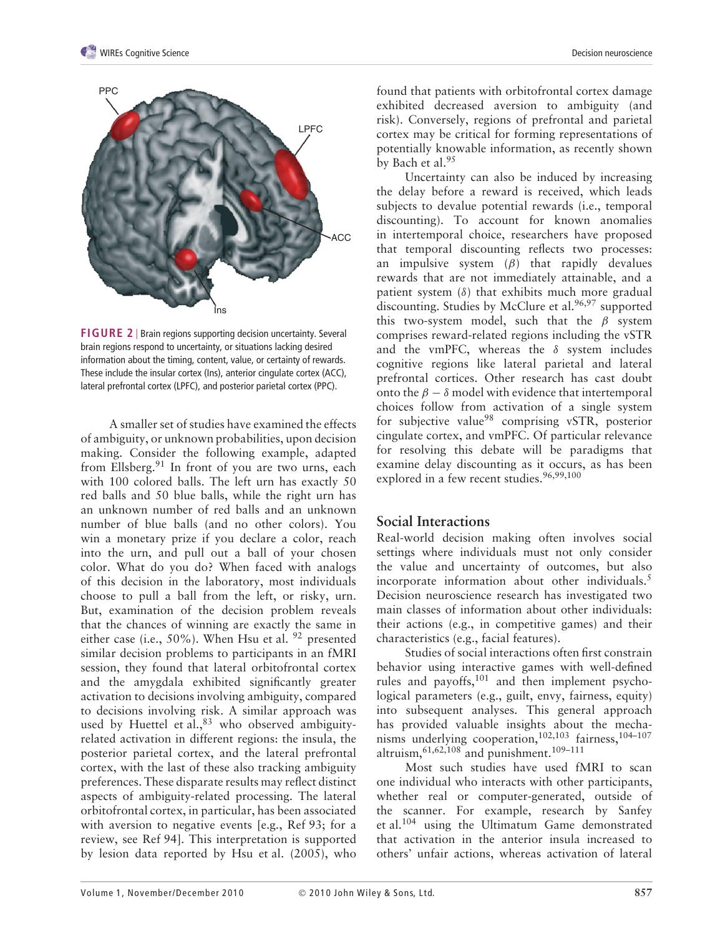

**FIGURE 2** | Brain regions supporting decision uncertainty. Several brain regions respond to uncertainty, or situations lacking desired information about the timing, content, value, or certainty of rewards. These include the insular cortex (Ins), anterior cingulate cortex (ACC), lateral prefrontal cortex (LPFC), and posterior parietal cortex (PPC).

A smaller set of studies have examined the effects of ambiguity, or unknown probabilities, upon decision making. Consider the following example, adapted from Ellsberg.<sup>91</sup> In front of you are two urns, each with 100 colored balls. The left urn has exactly 50 red balls and 50 blue balls, while the right urn has an unknown number of red balls and an unknown number of blue balls (and no other colors). You win a monetary prize if you declare a color, reach into the urn, and pull out a ball of your chosen color. What do you do? When faced with analogs of this decision in the laboratory, most individuals choose to pull a ball from the left, or risky, urn. But, examination of the decision problem reveals that the chances of winning are exactly the same in either case (i.e.,  $50\%$ ). When Hsu et al.  $92$  presented similar decision problems to participants in an fMRI session, they found that lateral orbitofrontal cortex and the amygdala exhibited significantly greater activation to decisions involving ambiguity, compared to decisions involving risk. A similar approach was used by Huettel et al.,<sup>83</sup> who observed ambiguityrelated activation in different regions: the insula, the posterior parietal cortex, and the lateral prefrontal cortex, with the last of these also tracking ambiguity preferences. These disparate results may reflect distinct aspects of ambiguity-related processing. The lateral orbitofrontal cortex, in particular, has been associated with aversion to negative events [e.g., Ref 93; for a review, see Ref 94]. This interpretation is supported by lesion data reported by Hsu et al. (2005), who found that patients with orbitofrontal cortex damage exhibited decreased aversion to ambiguity (and risk). Conversely, regions of prefrontal and parietal cortex may be critical for forming representations of potentially knowable information, as recently shown by Bach et al.<sup>95</sup>

Uncertainty can also be induced by increasing the delay before a reward is received, which leads subjects to devalue potential rewards (i.e., temporal discounting). To account for known anomalies in intertemporal choice, researchers have proposed that temporal discounting reflects two processes: an impulsive system (*β*) that rapidly devalues rewards that are not immediately attainable, and a patient system (*δ*) that exhibits much more gradual discounting. Studies by McClure et al.<sup>96,97</sup> supported this two-system model, such that the *β* system comprises reward-related regions including the vSTR and the vmPFC, whereas the *δ* system includes cognitive regions like lateral parietal and lateral prefrontal cortices. Other research has cast doubt onto the  $\beta - \delta$  model with evidence that intertemporal choices follow from activation of a single system for subjective value<sup>98</sup> comprising vSTR, posterior cingulate cortex, and vmPFC. Of particular relevance for resolving this debate will be paradigms that examine delay discounting as it occurs, as has been explored in a few recent studies.<sup>96,99,100</sup>

#### **Social Interactions**

Real-world decision making often involves social settings where individuals must not only consider the value and uncertainty of outcomes, but also incorporate information about other individuals.<sup>5</sup> Decision neuroscience research has investigated two main classes of information about other individuals: their actions (e.g., in competitive games) and their characteristics (e.g., facial features).

Studies of social interactions often first constrain behavior using interactive games with well-defined rules and payoffs,  $101$  and then implement psychological parameters (e.g., guilt, envy, fairness, equity) into subsequent analyses. This general approach has provided valuable insights about the mechanisms underlying cooperation,<sup>102,103</sup> fairness,<sup>104-107</sup> altruism,  $61,62,108$  and punishment.<sup>109-111</sup>

Most such studies have used fMRI to scan one individual who interacts with other participants, whether real or computer-generated, outside of the scanner. For example, research by Sanfey et al.104 using the Ultimatum Game demonstrated that activation in the anterior insula increased to others' unfair actions, whereas activation of lateral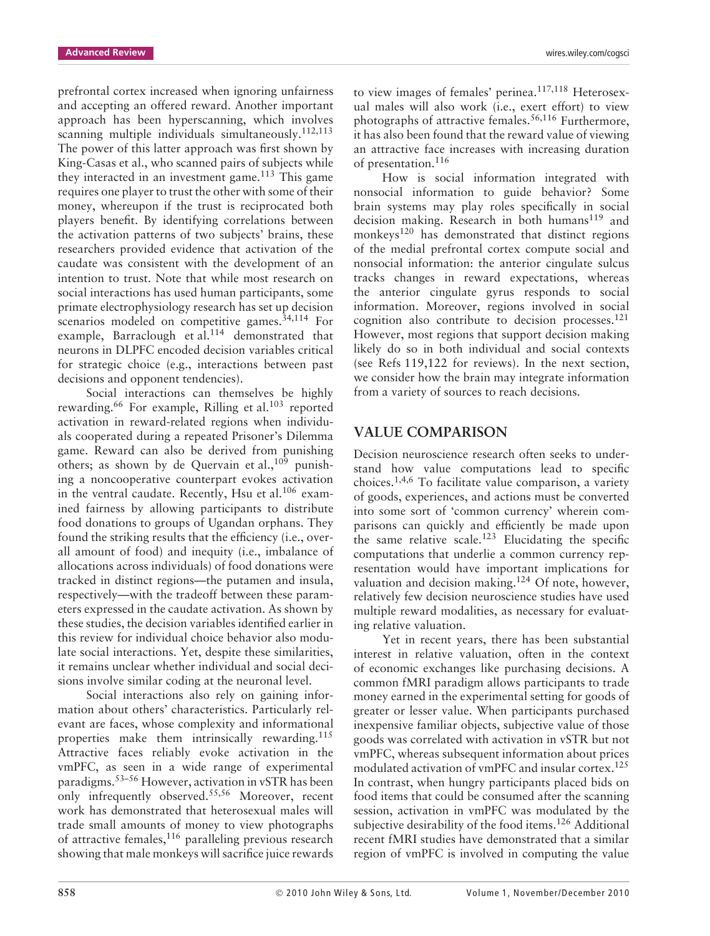prefrontal cortex increased when ignoring unfairness and accepting an offered reward. Another important approach has been hyperscanning, which involves scanning multiple individuals simultaneously.<sup>112,113</sup> The power of this latter approach was first shown by King-Casas et al., who scanned pairs of subjects while they interacted in an investment game.<sup>113</sup> This game requires one player to trust the other with some of their money, whereupon if the trust is reciprocated both players benefit. By identifying correlations between the activation patterns of two subjects' brains, these researchers provided evidence that activation of the caudate was consistent with the development of an intention to trust. Note that while most research on social interactions has used human participants, some primate electrophysiology research has set up decision scenarios modeled on competitive games.<sup>34,114</sup> For example, Barraclough et al.<sup>114</sup> demonstrated that neurons in DLPFC encoded decision variables critical for strategic choice (e.g., interactions between past decisions and opponent tendencies).

Social interactions can themselves be highly rewarding.<sup>66</sup> For example, Rilling et al.<sup>103</sup> reported activation in reward-related regions when individuals cooperated during a repeated Prisoner's Dilemma game. Reward can also be derived from punishing others; as shown by de Quervain et al.,  $10^9$  punishing a noncooperative counterpart evokes activation in the ventral caudate. Recently, Hsu et al. $106$  examined fairness by allowing participants to distribute food donations to groups of Ugandan orphans. They found the striking results that the efficiency (i.e., overall amount of food) and inequity (i.e., imbalance of allocations across individuals) of food donations were tracked in distinct regions—the putamen and insula, respectively—with the tradeoff between these parameters expressed in the caudate activation. As shown by these studies, the decision variables identified earlier in this review for individual choice behavior also modulate social interactions. Yet, despite these similarities, it remains unclear whether individual and social decisions involve similar coding at the neuronal level.

Social interactions also rely on gaining information about others' characteristics. Particularly relevant are faces, whose complexity and informational properties make them intrinsically rewarding.<sup>115</sup> Attractive faces reliably evoke activation in the vmPFC, as seen in a wide range of experimental paradigms.53–56 However, activation in vSTR has been only infrequently observed.55,56 Moreover, recent work has demonstrated that heterosexual males will trade small amounts of money to view photographs of attractive females,  $116$  paralleling previous research showing that male monkeys will sacrifice juice rewards

to view images of females' perinea. $117,118$  Heterosexual males will also work (i.e., exert effort) to view photographs of attractive females.56,116 Furthermore, it has also been found that the reward value of viewing an attractive face increases with increasing duration of presentation.116

How is social information integrated with nonsocial information to guide behavior? Some brain systems may play roles specifically in social decision making. Research in both humans<sup>119</sup> and monkeys<sup>120</sup> has demonstrated that distinct regions of the medial prefrontal cortex compute social and nonsocial information: the anterior cingulate sulcus tracks changes in reward expectations, whereas the anterior cingulate gyrus responds to social information. Moreover, regions involved in social cognition also contribute to decision processes. $^{121}$ However, most regions that support decision making likely do so in both individual and social contexts (see Refs 119,122 for reviews). In the next section, we consider how the brain may integrate information from a variety of sources to reach decisions.

## **VALUE COMPARISON**

Decision neuroscience research often seeks to understand how value computations lead to specific choices.1,4,6 To facilitate value comparison, a variety of goods, experiences, and actions must be converted into some sort of 'common currency' wherein comparisons can quickly and efficiently be made upon the same relative scale.<sup>123</sup> Elucidating the specific computations that underlie a common currency representation would have important implications for valuation and decision making.124 Of note, however, relatively few decision neuroscience studies have used multiple reward modalities, as necessary for evaluating relative valuation.

Yet in recent years, there has been substantial interest in relative valuation, often in the context of economic exchanges like purchasing decisions. A common fMRI paradigm allows participants to trade money earned in the experimental setting for goods of greater or lesser value. When participants purchased inexpensive familiar objects, subjective value of those goods was correlated with activation in vSTR but not vmPFC, whereas subsequent information about prices modulated activation of vmPFC and insular cortex.125 In contrast, when hungry participants placed bids on food items that could be consumed after the scanning session, activation in vmPFC was modulated by the subjective desirability of the food items.<sup>126</sup> Additional recent fMRI studies have demonstrated that a similar region of vmPFC is involved in computing the value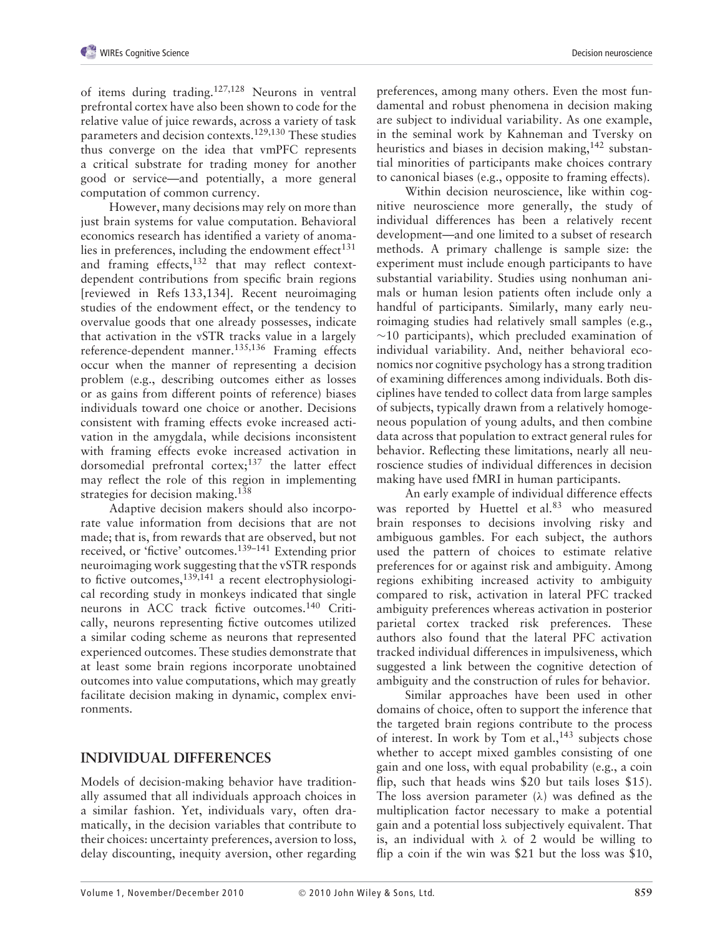of items during trading.<sup>127,128</sup> Neurons in ventral prefrontal cortex have also been shown to code for the relative value of juice rewards, across a variety of task parameters and decision contexts.<sup>129,130</sup> These studies thus converge on the idea that vmPFC represents a critical substrate for trading money for another good or service—and potentially, a more general computation of common currency.

However, many decisions may rely on more than just brain systems for value computation. Behavioral economics research has identified a variety of anomalies in preferences, including the endowment effect<sup>131</sup> and framing effects,<sup>132</sup> that may reflect contextdependent contributions from specific brain regions [reviewed in Refs 133,134]. Recent neuroimaging studies of the endowment effect, or the tendency to overvalue goods that one already possesses, indicate that activation in the vSTR tracks value in a largely reference-dependent manner.<sup>135,136</sup> Framing effects occur when the manner of representing a decision problem (e.g., describing outcomes either as losses or as gains from different points of reference) biases individuals toward one choice or another. Decisions consistent with framing effects evoke increased activation in the amygdala, while decisions inconsistent with framing effects evoke increased activation in dorsomedial prefrontal cortex;<sup>137</sup> the latter effect may reflect the role of this region in implementing strategies for decision making.<sup>138</sup>

Adaptive decision makers should also incorporate value information from decisions that are not made; that is, from rewards that are observed, but not received, or 'fictive' outcomes.139–141 Extending prior neuroimaging work suggesting that the vSTR responds to fictive outcomes,  $^{139,141}$  a recent electrophysiological recording study in monkeys indicated that single neurons in ACC track fictive outcomes.<sup>140</sup> Critically, neurons representing fictive outcomes utilized a similar coding scheme as neurons that represented experienced outcomes. These studies demonstrate that at least some brain regions incorporate unobtained outcomes into value computations, which may greatly facilitate decision making in dynamic, complex environments.

# **INDIVIDUAL DIFFERENCES**

Models of decision-making behavior have traditionally assumed that all individuals approach choices in a similar fashion. Yet, individuals vary, often dramatically, in the decision variables that contribute to their choices: uncertainty preferences, aversion to loss, delay discounting, inequity aversion, other regarding preferences, among many others. Even the most fundamental and robust phenomena in decision making are subject to individual variability. As one example, in the seminal work by Kahneman and Tversky on heuristics and biases in decision making,<sup>142</sup> substantial minorities of participants make choices contrary to canonical biases (e.g., opposite to framing effects).

Within decision neuroscience, like within cognitive neuroscience more generally, the study of individual differences has been a relatively recent development—and one limited to a subset of research methods. A primary challenge is sample size: the experiment must include enough participants to have substantial variability. Studies using nonhuman animals or human lesion patients often include only a handful of participants. Similarly, many early neuroimaging studies had relatively small samples (e.g., ∼10 participants), which precluded examination of individual variability. And, neither behavioral economics nor cognitive psychology has a strong tradition of examining differences among individuals. Both disciplines have tended to collect data from large samples of subjects, typically drawn from a relatively homogeneous population of young adults, and then combine data across that population to extract general rules for behavior. Reflecting these limitations, nearly all neuroscience studies of individual differences in decision making have used fMRI in human participants.

An early example of individual difference effects was reported by Huettel et al.<sup>83</sup> who measured brain responses to decisions involving risky and ambiguous gambles. For each subject, the authors used the pattern of choices to estimate relative preferences for or against risk and ambiguity. Among regions exhibiting increased activity to ambiguity compared to risk, activation in lateral PFC tracked ambiguity preferences whereas activation in posterior parietal cortex tracked risk preferences. These authors also found that the lateral PFC activation tracked individual differences in impulsiveness, which suggested a link between the cognitive detection of ambiguity and the construction of rules for behavior.

Similar approaches have been used in other domains of choice, often to support the inference that the targeted brain regions contribute to the process of interest. In work by Tom et al.,  $143$  subjects chose whether to accept mixed gambles consisting of one gain and one loss, with equal probability (e.g., a coin flip, such that heads wins \$20 but tails loses \$15). The loss aversion parameter (*λ*) was defined as the multiplication factor necessary to make a potential gain and a potential loss subjectively equivalent. That is, an individual with *λ* of 2 would be willing to flip a coin if the win was \$21 but the loss was \$10,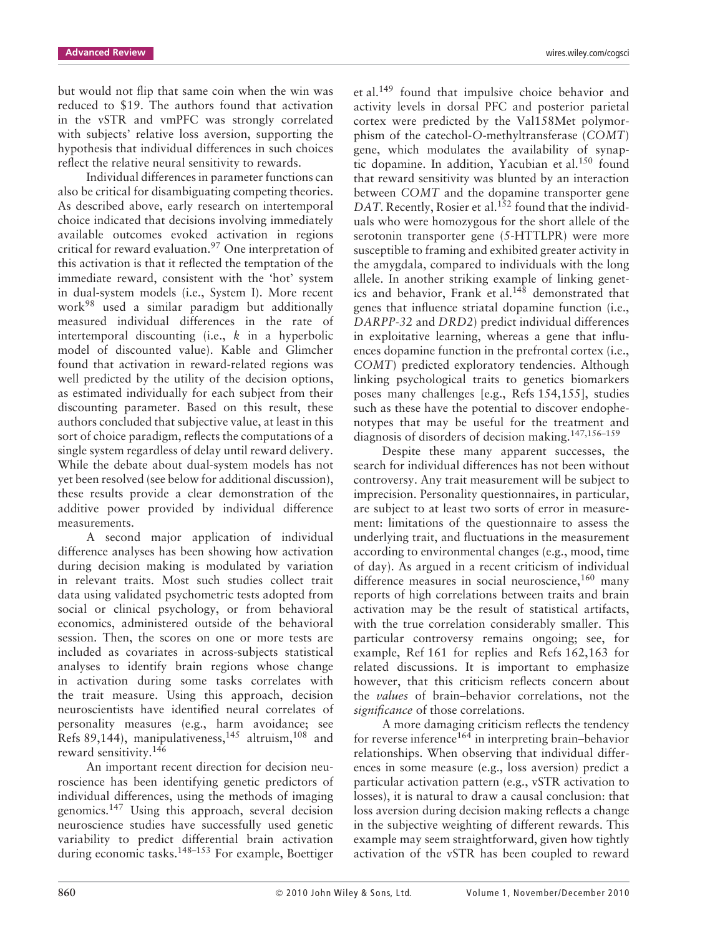but would not flip that same coin when the win was reduced to \$19. The authors found that activation in the vSTR and vmPFC was strongly correlated with subjects' relative loss aversion, supporting the hypothesis that individual differences in such choices reflect the relative neural sensitivity to rewards.

Individual differences in parameter functions can also be critical for disambiguating competing theories. As described above, early research on intertemporal choice indicated that decisions involving immediately available outcomes evoked activation in regions critical for reward evaluation.<sup>97</sup> One interpretation of this activation is that it reflected the temptation of the immediate reward, consistent with the 'hot' system in dual-system models (i.e., System I). More recent work<sup>98</sup> used a similar paradigm but additionally measured individual differences in the rate of intertemporal discounting (i.e., *k* in a hyperbolic model of discounted value). Kable and Glimcher found that activation in reward-related regions was well predicted by the utility of the decision options, as estimated individually for each subject from their discounting parameter. Based on this result, these authors concluded that subjective value, at least in this sort of choice paradigm, reflects the computations of a single system regardless of delay until reward delivery. While the debate about dual-system models has not yet been resolved (see below for additional discussion), these results provide a clear demonstration of the additive power provided by individual difference measurements.

A second major application of individual difference analyses has been showing how activation during decision making is modulated by variation in relevant traits. Most such studies collect trait data using validated psychometric tests adopted from social or clinical psychology, or from behavioral economics, administered outside of the behavioral session. Then, the scores on one or more tests are included as covariates in across-subjects statistical analyses to identify brain regions whose change in activation during some tasks correlates with the trait measure. Using this approach, decision neuroscientists have identified neural correlates of personality measures (e.g., harm avoidance; see Refs 89,144), manipulativeness,  $145$  altruism,  $108$  and reward sensitivity.146

An important recent direction for decision neuroscience has been identifying genetic predictors of individual differences, using the methods of imaging genomics.147 Using this approach, several decision neuroscience studies have successfully used genetic variability to predict differential brain activation during economic tasks.148–153 For example, Boettiger et al.149 found that impulsive choice behavior and activity levels in dorsal PFC and posterior parietal cortex were predicted by the Val158Met polymorphism of the catechol-*O*-methyltransferase (*COMT*) gene, which modulates the availability of synaptic dopamine. In addition, Yacubian et al.<sup>150</sup> found that reward sensitivity was blunted by an interaction between *COMT* and the dopamine transporter gene *DAT*. Recently, Rosier et al.<sup>152</sup> found that the individuals who were homozygous for the short allele of the serotonin transporter gene (5-HTTLPR) were more susceptible to framing and exhibited greater activity in the amygdala, compared to individuals with the long allele. In another striking example of linking genetics and behavior, Frank et al.<sup>148</sup> demonstrated that genes that influence striatal dopamine function (i.e., *DARPP-32* and *DRD2*) predict individual differences in exploitative learning, whereas a gene that influences dopamine function in the prefrontal cortex (i.e., *COMT*) predicted exploratory tendencies. Although linking psychological traits to genetics biomarkers poses many challenges [e.g., Refs 154,155], studies such as these have the potential to discover endophenotypes that may be useful for the treatment and diagnosis of disorders of decision making.147,156–159

Despite these many apparent successes, the search for individual differences has not been without controversy. Any trait measurement will be subject to imprecision. Personality questionnaires, in particular, are subject to at least two sorts of error in measurement: limitations of the questionnaire to assess the underlying trait, and fluctuations in the measurement according to environmental changes (e.g., mood, time of day). As argued in a recent criticism of individual difference measures in social neuroscience,  $160$  many reports of high correlations between traits and brain activation may be the result of statistical artifacts, with the true correlation considerably smaller. This particular controversy remains ongoing; see, for example, Ref 161 for replies and Refs 162,163 for related discussions. It is important to emphasize however, that this criticism reflects concern about the *values* of brain–behavior correlations, not the *significance* of those correlations.

A more damaging criticism reflects the tendency for reverse inference<sup>164</sup> in interpreting brain–behavior relationships. When observing that individual differences in some measure (e.g., loss aversion) predict a particular activation pattern (e.g., vSTR activation to losses), it is natural to draw a causal conclusion: that loss aversion during decision making reflects a change in the subjective weighting of different rewards. This example may seem straightforward, given how tightly activation of the vSTR has been coupled to reward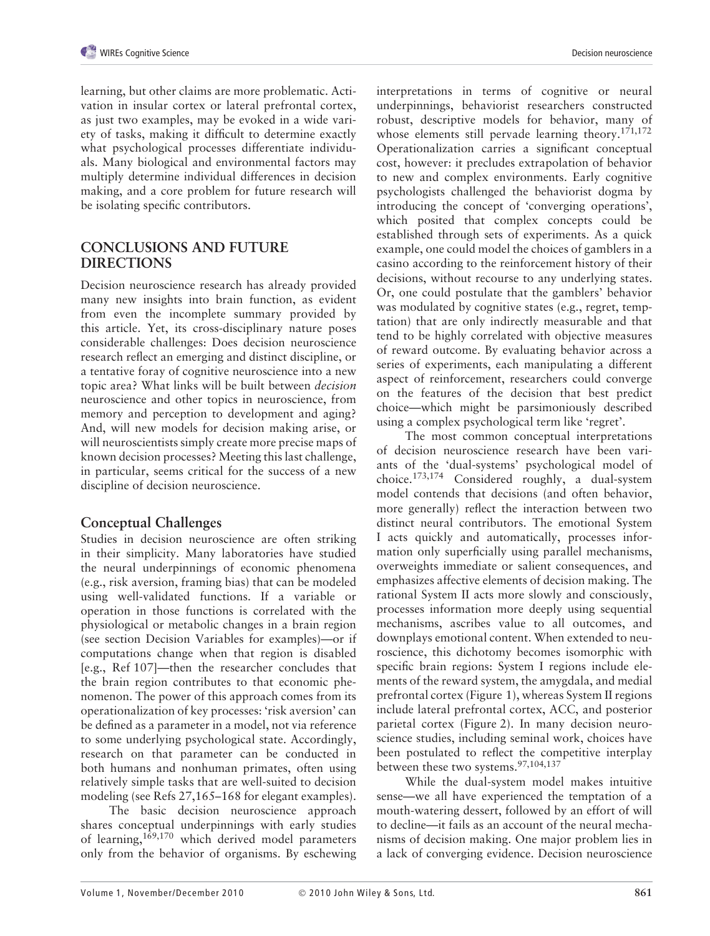learning, but other claims are more problematic. Activation in insular cortex or lateral prefrontal cortex, as just two examples, may be evoked in a wide variety of tasks, making it difficult to determine exactly what psychological processes differentiate individuals. Many biological and environmental factors may multiply determine individual differences in decision making, and a core problem for future research will be isolating specific contributors.

# **CONCLUSIONS AND FUTURE DIRECTIONS**

Decision neuroscience research has already provided many new insights into brain function, as evident from even the incomplete summary provided by this article. Yet, its cross-disciplinary nature poses considerable challenges: Does decision neuroscience research reflect an emerging and distinct discipline, or a tentative foray of cognitive neuroscience into a new topic area? What links will be built between *decision* neuroscience and other topics in neuroscience, from memory and perception to development and aging? And, will new models for decision making arise, or will neuroscientists simply create more precise maps of known decision processes? Meeting this last challenge, in particular, seems critical for the success of a new discipline of decision neuroscience.

# **Conceptual Challenges**

Studies in decision neuroscience are often striking in their simplicity. Many laboratories have studied the neural underpinnings of economic phenomena (e.g., risk aversion, framing bias) that can be modeled using well-validated functions. If a variable or operation in those functions is correlated with the physiological or metabolic changes in a brain region (see section Decision Variables for examples)—or if computations change when that region is disabled [e.g., Ref 107]—then the researcher concludes that the brain region contributes to that economic phenomenon. The power of this approach comes from its operationalization of key processes: 'risk aversion' can be defined as a parameter in a model, not via reference to some underlying psychological state. Accordingly, research on that parameter can be conducted in both humans and nonhuman primates, often using relatively simple tasks that are well-suited to decision modeling (see Refs 27,165–168 for elegant examples).

The basic decision neuroscience approach shares conceptual underpinnings with early studies of learning,<sup>169,170</sup> which derived model parameters only from the behavior of organisms. By eschewing interpretations in terms of cognitive or neural underpinnings, behaviorist researchers constructed robust, descriptive models for behavior, many of whose elements still pervade learning theory.<sup>171,172</sup> Operationalization carries a significant conceptual cost, however: it precludes extrapolation of behavior to new and complex environments. Early cognitive psychologists challenged the behaviorist dogma by introducing the concept of 'converging operations', which posited that complex concepts could be established through sets of experiments. As a quick example, one could model the choices of gamblers in a casino according to the reinforcement history of their decisions, without recourse to any underlying states. Or, one could postulate that the gamblers' behavior was modulated by cognitive states (e.g., regret, temptation) that are only indirectly measurable and that tend to be highly correlated with objective measures of reward outcome. By evaluating behavior across a series of experiments, each manipulating a different aspect of reinforcement, researchers could converge on the features of the decision that best predict choice—which might be parsimoniously described using a complex psychological term like 'regret'.

The most common conceptual interpretations of decision neuroscience research have been variants of the 'dual-systems' psychological model of choice.173,174 Considered roughly, a dual-system model contends that decisions (and often behavior, more generally) reflect the interaction between two distinct neural contributors. The emotional System I acts quickly and automatically, processes information only superficially using parallel mechanisms, overweights immediate or salient consequences, and emphasizes affective elements of decision making. The rational System II acts more slowly and consciously, processes information more deeply using sequential mechanisms, ascribes value to all outcomes, and downplays emotional content. When extended to neuroscience, this dichotomy becomes isomorphic with specific brain regions: System I regions include elements of the reward system, the amygdala, and medial prefrontal cortex (Figure 1), whereas System II regions include lateral prefrontal cortex, ACC, and posterior parietal cortex (Figure 2). In many decision neuroscience studies, including seminal work, choices have been postulated to reflect the competitive interplay between these two systems.<sup>97,104,137</sup>

While the dual-system model makes intuitive sense—we all have experienced the temptation of a mouth-watering dessert, followed by an effort of will to decline—it fails as an account of the neural mechanisms of decision making. One major problem lies in a lack of converging evidence. Decision neuroscience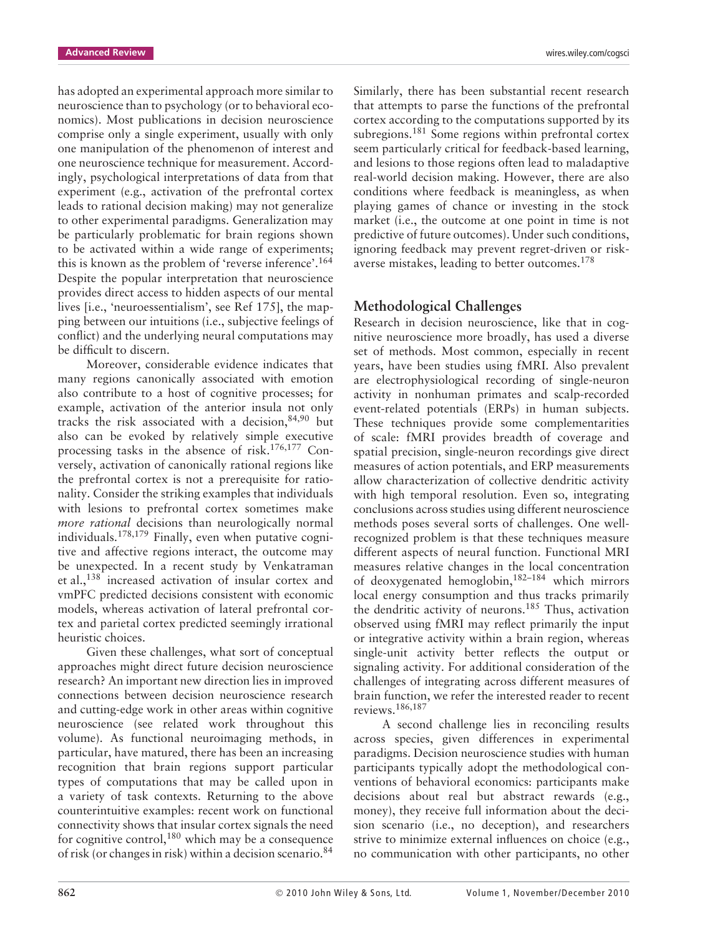has adopted an experimental approach more similar to neuroscience than to psychology (or to behavioral economics). Most publications in decision neuroscience comprise only a single experiment, usually with only one manipulation of the phenomenon of interest and one neuroscience technique for measurement. Accordingly, psychological interpretations of data from that experiment (e.g., activation of the prefrontal cortex leads to rational decision making) may not generalize to other experimental paradigms. Generalization may be particularly problematic for brain regions shown to be activated within a wide range of experiments; this is known as the problem of 'reverse inference'.<sup>164</sup> Despite the popular interpretation that neuroscience provides direct access to hidden aspects of our mental lives [i.e., 'neuroessentialism', see Ref 175], the mapping between our intuitions (i.e., subjective feelings of conflict) and the underlying neural computations may be difficult to discern.

Moreover, considerable evidence indicates that many regions canonically associated with emotion also contribute to a host of cognitive processes; for example, activation of the anterior insula not only tracks the risk associated with a decision,  $84,90$  but also can be evoked by relatively simple executive processing tasks in the absence of risk.176,177 Conversely, activation of canonically rational regions like the prefrontal cortex is not a prerequisite for rationality. Consider the striking examples that individuals with lesions to prefrontal cortex sometimes make *more rational* decisions than neurologically normal individuals.178,179 Finally, even when putative cognitive and affective regions interact, the outcome may be unexpected. In a recent study by Venkatraman et al.,138 increased activation of insular cortex and vmPFC predicted decisions consistent with economic models, whereas activation of lateral prefrontal cortex and parietal cortex predicted seemingly irrational heuristic choices.

Given these challenges, what sort of conceptual approaches might direct future decision neuroscience research? An important new direction lies in improved connections between decision neuroscience research and cutting-edge work in other areas within cognitive neuroscience (see related work throughout this volume). As functional neuroimaging methods, in particular, have matured, there has been an increasing recognition that brain regions support particular types of computations that may be called upon in a variety of task contexts. Returning to the above counterintuitive examples: recent work on functional connectivity shows that insular cortex signals the need for cognitive control,<sup>180</sup> which may be a consequence of risk (or changes in risk) within a decision scenario.84 Similarly, there has been substantial recent research that attempts to parse the functions of the prefrontal cortex according to the computations supported by its subregions.<sup>181</sup> Some regions within prefrontal cortex seem particularly critical for feedback-based learning, and lesions to those regions often lead to maladaptive real-world decision making. However, there are also conditions where feedback is meaningless, as when playing games of chance or investing in the stock market (i.e., the outcome at one point in time is not predictive of future outcomes). Under such conditions, ignoring feedback may prevent regret-driven or riskaverse mistakes, leading to better outcomes.178

# **Methodological Challenges**

Research in decision neuroscience, like that in cognitive neuroscience more broadly, has used a diverse set of methods. Most common, especially in recent years, have been studies using fMRI. Also prevalent are electrophysiological recording of single-neuron activity in nonhuman primates and scalp-recorded event-related potentials (ERPs) in human subjects. These techniques provide some complementarities of scale: fMRI provides breadth of coverage and spatial precision, single-neuron recordings give direct measures of action potentials, and ERP measurements allow characterization of collective dendritic activity with high temporal resolution. Even so, integrating conclusions across studies using different neuroscience methods poses several sorts of challenges. One wellrecognized problem is that these techniques measure different aspects of neural function. Functional MRI measures relative changes in the local concentration of deoxygenated hemoglobin,182–184 which mirrors local energy consumption and thus tracks primarily the dendritic activity of neurons.185 Thus, activation observed using fMRI may reflect primarily the input or integrative activity within a brain region, whereas single-unit activity better reflects the output or signaling activity. For additional consideration of the challenges of integrating across different measures of brain function, we refer the interested reader to recent reviews.186,187

A second challenge lies in reconciling results across species, given differences in experimental paradigms. Decision neuroscience studies with human participants typically adopt the methodological conventions of behavioral economics: participants make decisions about real but abstract rewards (e.g., money), they receive full information about the decision scenario (i.e., no deception), and researchers strive to minimize external influences on choice (e.g., no communication with other participants, no other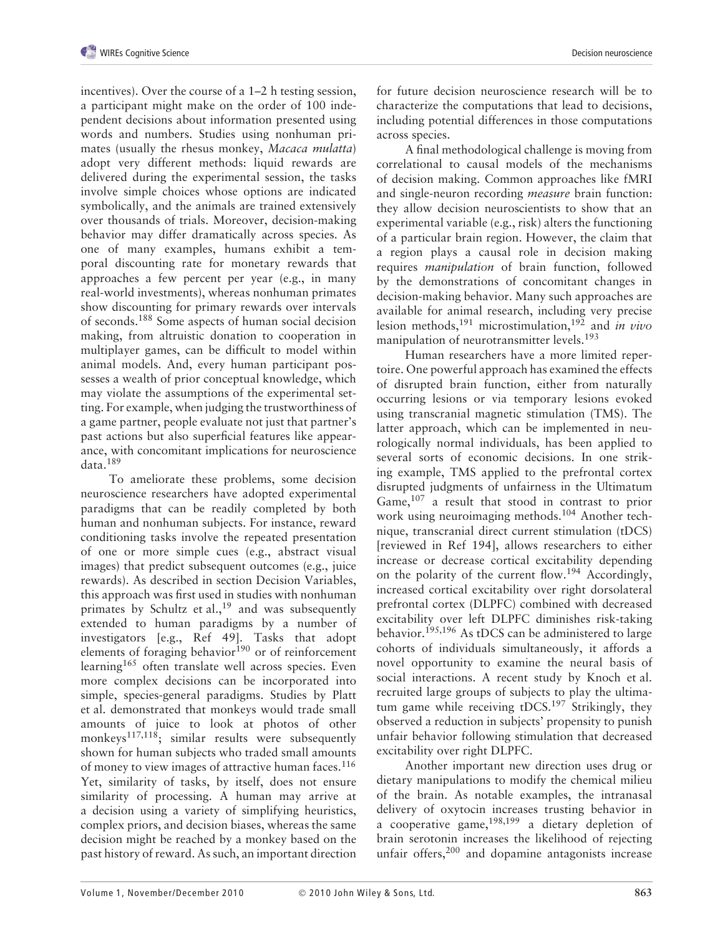incentives). Over the course of a 1–2 h testing session, a participant might make on the order of 100 independent decisions about information presented using words and numbers. Studies using nonhuman primates (usually the rhesus monkey, *Macaca mulatta*) adopt very different methods: liquid rewards are delivered during the experimental session, the tasks involve simple choices whose options are indicated symbolically, and the animals are trained extensively over thousands of trials. Moreover, decision-making behavior may differ dramatically across species. As one of many examples, humans exhibit a temporal discounting rate for monetary rewards that approaches a few percent per year (e.g., in many real-world investments), whereas nonhuman primates show discounting for primary rewards over intervals of seconds.188 Some aspects of human social decision making, from altruistic donation to cooperation in multiplayer games, can be difficult to model within animal models. And, every human participant possesses a wealth of prior conceptual knowledge, which may violate the assumptions of the experimental setting. For example, when judging the trustworthiness of a game partner, people evaluate not just that partner's past actions but also superficial features like appearance, with concomitant implications for neuroscience data.189

To ameliorate these problems, some decision neuroscience researchers have adopted experimental paradigms that can be readily completed by both human and nonhuman subjects. For instance, reward conditioning tasks involve the repeated presentation of one or more simple cues (e.g., abstract visual images) that predict subsequent outcomes (e.g., juice rewards). As described in section Decision Variables, this approach was first used in studies with nonhuman primates by Schultz et al.,<sup>19</sup> and was subsequently extended to human paradigms by a number of investigators [e.g., Ref 49]. Tasks that adopt elements of foraging behavior $^{190}$  or of reinforcement learning<sup>165</sup> often translate well across species. Even more complex decisions can be incorporated into simple, species-general paradigms. Studies by Platt et al. demonstrated that monkeys would trade small amounts of juice to look at photos of other monkeys117,118; similar results were subsequently shown for human subjects who traded small amounts of money to view images of attractive human faces.<sup>116</sup> Yet, similarity of tasks, by itself, does not ensure similarity of processing. A human may arrive at a decision using a variety of simplifying heuristics, complex priors, and decision biases, whereas the same decision might be reached by a monkey based on the past history of reward. As such, an important direction for future decision neuroscience research will be to characterize the computations that lead to decisions, including potential differences in those computations across species.

A final methodological challenge is moving from correlational to causal models of the mechanisms of decision making. Common approaches like fMRI and single-neuron recording *measure* brain function: they allow decision neuroscientists to show that an experimental variable (e.g., risk) alters the functioning of a particular brain region. However, the claim that a region plays a causal role in decision making requires *manipulation* of brain function, followed by the demonstrations of concomitant changes in decision-making behavior. Many such approaches are available for animal research, including very precise lesion methods,191 microstimulation,192 and *in vivo* manipulation of neurotransmitter levels.<sup>193</sup>

Human researchers have a more limited repertoire. One powerful approach has examined the effects of disrupted brain function, either from naturally occurring lesions or via temporary lesions evoked using transcranial magnetic stimulation (TMS). The latter approach, which can be implemented in neurologically normal individuals, has been applied to several sorts of economic decisions. In one striking example, TMS applied to the prefrontal cortex disrupted judgments of unfairness in the Ultimatum Game,  $107$  a result that stood in contrast to prior work using neuroimaging methods.<sup>104</sup> Another technique, transcranial direct current stimulation (tDCS) [reviewed in Ref 194], allows researchers to either increase or decrease cortical excitability depending on the polarity of the current flow.<sup>194</sup> Accordingly, increased cortical excitability over right dorsolateral prefrontal cortex (DLPFC) combined with decreased excitability over left DLPFC diminishes risk-taking behavior.<sup>195,196</sup> As tDCS can be administered to large cohorts of individuals simultaneously, it affords a novel opportunity to examine the neural basis of social interactions. A recent study by Knoch et al. recruited large groups of subjects to play the ultimatum game while receiving tDCS.<sup>197</sup> Strikingly, they observed a reduction in subjects' propensity to punish unfair behavior following stimulation that decreased excitability over right DLPFC.

Another important new direction uses drug or dietary manipulations to modify the chemical milieu of the brain. As notable examples, the intranasal delivery of oxytocin increases trusting behavior in a cooperative game,  $198,199$  a dietary depletion of brain serotonin increases the likelihood of rejecting unfair offers,<sup>200</sup> and dopamine antagonists increase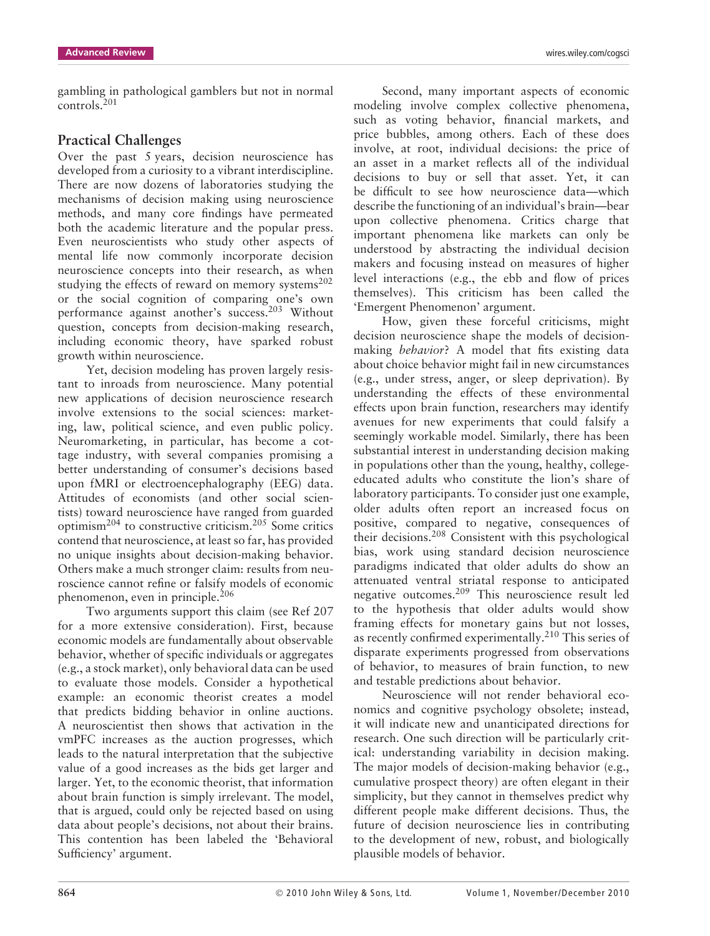gambling in pathological gamblers but not in normal controls.201

#### **Practical Challenges**

Over the past 5 years, decision neuroscience has developed from a curiosity to a vibrant interdiscipline. There are now dozens of laboratories studying the mechanisms of decision making using neuroscience methods, and many core findings have permeated both the academic literature and the popular press. Even neuroscientists who study other aspects of mental life now commonly incorporate decision neuroscience concepts into their research, as when studying the effects of reward on memory systems $^{202}$ or the social cognition of comparing one's own performance against another's success.<sup>203</sup> Without question, concepts from decision-making research, including economic theory, have sparked robust growth within neuroscience.

Yet, decision modeling has proven largely resistant to inroads from neuroscience. Many potential new applications of decision neuroscience research involve extensions to the social sciences: marketing, law, political science, and even public policy. Neuromarketing, in particular, has become a cottage industry, with several companies promising a better understanding of consumer's decisions based upon fMRI or electroencephalography (EEG) data. Attitudes of economists (and other social scientists) toward neuroscience have ranged from guarded optimism<sup>204</sup> to constructive criticism.<sup>205</sup> Some critics contend that neuroscience, at least so far, has provided no unique insights about decision-making behavior. Others make a much stronger claim: results from neuroscience cannot refine or falsify models of economic phenomenon, even in principle.206

Two arguments support this claim (see Ref 207 for a more extensive consideration). First, because economic models are fundamentally about observable behavior, whether of specific individuals or aggregates (e.g., a stock market), only behavioral data can be used to evaluate those models. Consider a hypothetical example: an economic theorist creates a model that predicts bidding behavior in online auctions. A neuroscientist then shows that activation in the vmPFC increases as the auction progresses, which leads to the natural interpretation that the subjective value of a good increases as the bids get larger and larger. Yet, to the economic theorist, that information about brain function is simply irrelevant. The model, that is argued, could only be rejected based on using data about people's decisions, not about their brains. This contention has been labeled the 'Behavioral Sufficiency' argument.

Second, many important aspects of economic modeling involve complex collective phenomena, such as voting behavior, financial markets, and price bubbles, among others. Each of these does involve, at root, individual decisions: the price of an asset in a market reflects all of the individual decisions to buy or sell that asset. Yet, it can be difficult to see how neuroscience data—which describe the functioning of an individual's brain—bear upon collective phenomena. Critics charge that important phenomena like markets can only be understood by abstracting the individual decision makers and focusing instead on measures of higher level interactions (e.g., the ebb and flow of prices themselves). This criticism has been called the 'Emergent Phenomenon' argument.

How, given these forceful criticisms, might decision neuroscience shape the models of decisionmaking *behavior*? A model that fits existing data about choice behavior might fail in new circumstances (e.g., under stress, anger, or sleep deprivation). By understanding the effects of these environmental effects upon brain function, researchers may identify avenues for new experiments that could falsify a seemingly workable model. Similarly, there has been substantial interest in understanding decision making in populations other than the young, healthy, collegeeducated adults who constitute the lion's share of laboratory participants. To consider just one example, older adults often report an increased focus on positive, compared to negative, consequences of their decisions.208 Consistent with this psychological bias, work using standard decision neuroscience paradigms indicated that older adults do show an attenuated ventral striatal response to anticipated negative outcomes.209 This neuroscience result led to the hypothesis that older adults would show framing effects for monetary gains but not losses, as recently confirmed experimentally.<sup>210</sup> This series of disparate experiments progressed from observations of behavior, to measures of brain function, to new and testable predictions about behavior.

Neuroscience will not render behavioral economics and cognitive psychology obsolete; instead, it will indicate new and unanticipated directions for research. One such direction will be particularly critical: understanding variability in decision making. The major models of decision-making behavior (e.g., cumulative prospect theory) are often elegant in their simplicity, but they cannot in themselves predict why different people make different decisions. Thus, the future of decision neuroscience lies in contributing to the development of new, robust, and biologically plausible models of behavior.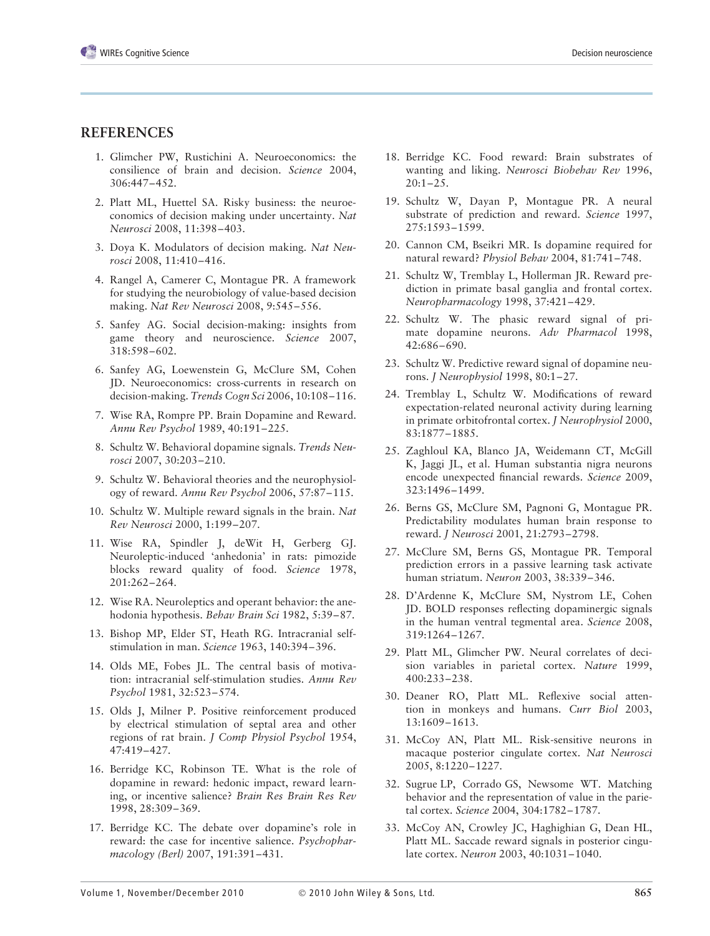## **REFERENCES**

- 1. Glimcher PW, Rustichini A. Neuroeconomics: the consilience of brain and decision. *Science* 2004, 306:447–452.
- 2. Platt ML, Huettel SA. Risky business: the neuroeconomics of decision making under uncertainty. *Nat Neurosci* 2008, 11:398–403.
- 3. Doya K. Modulators of decision making. *Nat Neurosci* 2008, 11:410–416.
- 4. Rangel A, Camerer C, Montague PR. A framework for studying the neurobiology of value-based decision making. *Nat Rev Neurosci* 2008, 9:545–556.
- 5. Sanfey AG. Social decision-making: insights from game theory and neuroscience. *Science* 2007, 318:598–602.
- 6. Sanfey AG, Loewenstein G, McClure SM, Cohen JD. Neuroeconomics: cross-currents in research on decision-making. *Trends Cogn Sci* 2006, 10:108–116.
- 7. Wise RA, Rompre PP. Brain Dopamine and Reward. *Annu Rev Psychol* 1989, 40:191–225.
- 8. Schultz W. Behavioral dopamine signals. *Trends Neurosci* 2007, 30:203–210.
- 9. Schultz W. Behavioral theories and the neurophysiology of reward. *Annu Rev Psychol* 2006, 57:87–115.
- 10. Schultz W. Multiple reward signals in the brain. *Nat Rev Neurosci* 2000, 1:199–207.
- 11. Wise RA, Spindler J, deWit H, Gerberg GJ. Neuroleptic-induced 'anhedonia' in rats: pimozide blocks reward quality of food. *Science* 1978, 201:262–264.
- 12. Wise RA. Neuroleptics and operant behavior: the anehodonia hypothesis. *Behav Brain Sci* 1982, 5:39–87.
- 13. Bishop MP, Elder ST, Heath RG. Intracranial selfstimulation in man. *Science* 1963, 140:394–396.
- 14. Olds ME, Fobes JL. The central basis of motivation: intracranial self-stimulation studies. *Annu Rev Psychol* 1981, 32:523–574.
- 15. Olds J, Milner P. Positive reinforcement produced by electrical stimulation of septal area and other regions of rat brain. *J Comp Physiol Psychol* 1954, 47:419–427.
- 16. Berridge KC, Robinson TE. What is the role of dopamine in reward: hedonic impact, reward learning, or incentive salience? *Brain Res Brain Res Rev* 1998, 28:309–369.
- 17. Berridge KC. The debate over dopamine's role in reward: the case for incentive salience. *Psychopharmacology (Berl)* 2007, 191:391–431.
- 18. Berridge KC. Food reward: Brain substrates of wanting and liking. *Neurosci Biobehav Rev* 1996,  $20:1-25$ .
- 19. Schultz W, Dayan P, Montague PR. A neural substrate of prediction and reward. *Science* 1997, 275:1593–1599.
- 20. Cannon CM, Bseikri MR. Is dopamine required for natural reward? *Physiol Behav* 2004, 81:741–748.
- 21. Schultz W, Tremblay L, Hollerman JR. Reward prediction in primate basal ganglia and frontal cortex. *Neuropharmacology* 1998, 37:421–429.
- 22. Schultz W. The phasic reward signal of primate dopamine neurons. *Adv Pharmacol* 1998, 42:686–690.
- 23. Schultz W. Predictive reward signal of dopamine neurons. *J Neurophysiol* 1998, 80:1–27.
- 24. Tremblay L, Schultz W. Modifications of reward expectation-related neuronal activity during learning in primate orbitofrontal cortex. *J Neurophysiol* 2000, 83:1877–1885.
- 25. Zaghloul KA, Blanco JA, Weidemann CT, McGill K, Jaggi JL, et al. Human substantia nigra neurons encode unexpected financial rewards. *Science* 2009, 323:1496–1499.
- 26. Berns GS, McClure SM, Pagnoni G, Montague PR. Predictability modulates human brain response to reward. *J Neurosci* 2001, 21:2793–2798.
- 27. McClure SM, Berns GS, Montague PR. Temporal prediction errors in a passive learning task activate human striatum. *Neuron* 2003, 38:339–346.
- 28. D'Ardenne K, McClure SM, Nystrom LE, Cohen JD. BOLD responses reflecting dopaminergic signals in the human ventral tegmental area. *Science* 2008, 319:1264–1267.
- 29. Platt ML, Glimcher PW. Neural correlates of decision variables in parietal cortex. *Nature* 1999, 400:233–238.
- 30. Deaner RO, Platt ML. Reflexive social attention in monkeys and humans. *Curr Biol* 2003, 13:1609–1613.
- 31. McCoy AN, Platt ML. Risk-sensitive neurons in macaque posterior cingulate cortex. *Nat Neurosci* 2005, 8:1220–1227.
- 32. Sugrue LP, Corrado GS, Newsome WT. Matching behavior and the representation of value in the parietal cortex. *Science* 2004, 304:1782–1787.
- 33. McCoy AN, Crowley JC, Haghighian G, Dean HL, Platt ML. Saccade reward signals in posterior cingulate cortex. *Neuron* 2003, 40:1031–1040.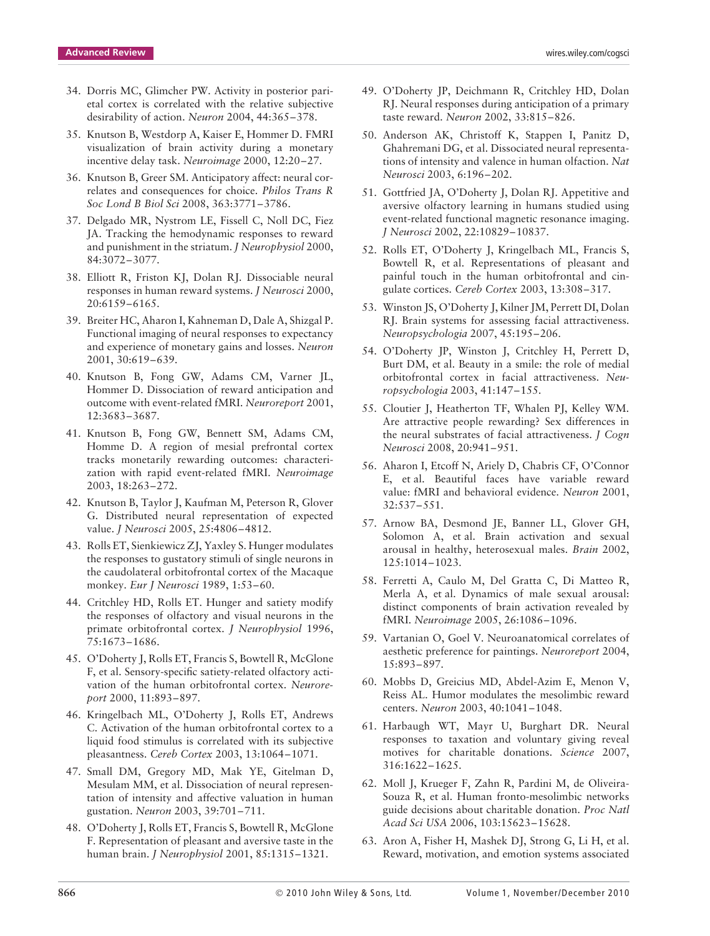- 34. Dorris MC, Glimcher PW. Activity in posterior parietal cortex is correlated with the relative subjective desirability of action. *Neuron* 2004, 44:365–378.
- 35. Knutson B, Westdorp A, Kaiser E, Hommer D. FMRI visualization of brain activity during a monetary incentive delay task. *Neuroimage* 2000, 12:20–27.
- 36. Knutson B, Greer SM. Anticipatory affect: neural correlates and consequences for choice. *Philos Trans R Soc Lond B Biol Sci* 2008, 363:3771–3786.
- 37. Delgado MR, Nystrom LE, Fissell C, Noll DC, Fiez JA. Tracking the hemodynamic responses to reward and punishment in the striatum. *J Neurophysiol* 2000, 84:3072–3077.
- 38. Elliott R, Friston KJ, Dolan RJ. Dissociable neural responses in human reward systems. *J Neurosci* 2000, 20:6159–6165.
- 39. Breiter HC, Aharon I, Kahneman D, Dale A, Shizgal P. Functional imaging of neural responses to expectancy and experience of monetary gains and losses. *Neuron* 2001, 30:619–639.
- 40. Knutson B, Fong GW, Adams CM, Varner JL, Hommer D. Dissociation of reward anticipation and outcome with event-related fMRI. *Neuroreport* 2001, 12:3683–3687.
- 41. Knutson B, Fong GW, Bennett SM, Adams CM, Homme D. A region of mesial prefrontal cortex tracks monetarily rewarding outcomes: characterization with rapid event-related fMRI. *Neuroimage* 2003, 18:263–272.
- 42. Knutson B, Taylor J, Kaufman M, Peterson R, Glover G. Distributed neural representation of expected value. *J Neurosci* 2005, 25:4806–4812.
- 43. Rolls ET, Sienkiewicz ZJ, Yaxley S. Hunger modulates the responses to gustatory stimuli of single neurons in the caudolateral orbitofrontal cortex of the Macaque monkey. *Eur J Neurosci* 1989, 1:53–60.
- 44. Critchley HD, Rolls ET. Hunger and satiety modify the responses of olfactory and visual neurons in the primate orbitofrontal cortex. *J Neurophysiol* 1996, 75:1673–1686.
- 45. O'Doherty J, Rolls ET, Francis S, Bowtell R, McGlone F, et al. Sensory-specific satiety-related olfactory activation of the human orbitofrontal cortex. *Neuroreport* 2000, 11:893–897.
- 46. Kringelbach ML, O'Doherty J, Rolls ET, Andrews C. Activation of the human orbitofrontal cortex to a liquid food stimulus is correlated with its subjective pleasantness. *Cereb Cortex* 2003, 13:1064–1071.
- 47. Small DM, Gregory MD, Mak YE, Gitelman D, Mesulam MM, et al. Dissociation of neural representation of intensity and affective valuation in human gustation. *Neuron* 2003, 39:701–711.
- 48. O'Doherty J, Rolls ET, Francis S, Bowtell R, McGlone F. Representation of pleasant and aversive taste in the human brain. *J Neurophysiol* 2001, 85:1315–1321.
- 49. O'Doherty JP, Deichmann R, Critchley HD, Dolan RJ. Neural responses during anticipation of a primary taste reward. *Neuron* 2002, 33:815–826.
- 50. Anderson AK, Christoff K, Stappen I, Panitz D, Ghahremani DG, et al. Dissociated neural representations of intensity and valence in human olfaction. *Nat Neurosci* 2003, 6:196–202.
- 51. Gottfried JA, O'Doherty J, Dolan RJ. Appetitive and aversive olfactory learning in humans studied using event-related functional magnetic resonance imaging. *J Neurosci* 2002, 22:10829–10837.
- 52. Rolls ET, O'Doherty J, Kringelbach ML, Francis S, Bowtell R, et al. Representations of pleasant and painful touch in the human orbitofrontal and cingulate cortices. *Cereb Cortex* 2003, 13:308–317.
- 53. Winston JS, O'Doherty J, Kilner JM, Perrett DI, Dolan RJ. Brain systems for assessing facial attractiveness. *Neuropsychologia* 2007, 45:195–206.
- 54. O'Doherty JP, Winston J, Critchley H, Perrett D, Burt DM, et al. Beauty in a smile: the role of medial orbitofrontal cortex in facial attractiveness. *Neuropsychologia* 2003, 41:147–155.
- 55. Cloutier J, Heatherton TF, Whalen PJ, Kelley WM. Are attractive people rewarding? Sex differences in the neural substrates of facial attractiveness. *J Cogn Neurosci* 2008, 20:941–951.
- 56. Aharon I, Etcoff N, Ariely D, Chabris CF, O'Connor E, et al. Beautiful faces have variable reward value: fMRI and behavioral evidence. *Neuron* 2001, 32:537–551.
- 57. Arnow BA, Desmond JE, Banner LL, Glover GH, Solomon A, et al. Brain activation and sexual arousal in healthy, heterosexual males. *Brain* 2002, 125:1014–1023.
- 58. Ferretti A, Caulo M, Del Gratta C, Di Matteo R, Merla A, et al. Dynamics of male sexual arousal: distinct components of brain activation revealed by fMRI. *Neuroimage* 2005, 26:1086–1096.
- 59. Vartanian O, Goel V. Neuroanatomical correlates of aesthetic preference for paintings. *Neuroreport* 2004, 15:893–897.
- 60. Mobbs D, Greicius MD, Abdel-Azim E, Menon V, Reiss AL. Humor modulates the mesolimbic reward centers. *Neuron* 2003, 40:1041–1048.
- 61. Harbaugh WT, Mayr U, Burghart DR. Neural responses to taxation and voluntary giving reveal motives for charitable donations. *Science* 2007, 316:1622–1625.
- 62. Moll J, Krueger F, Zahn R, Pardini M, de Oliveira-Souza R, et al. Human fronto-mesolimbic networks guide decisions about charitable donation. *Proc Natl Acad Sci USA* 2006, 103:15623–15628.
- 63. Aron A, Fisher H, Mashek DJ, Strong G, Li H, et al. Reward, motivation, and emotion systems associated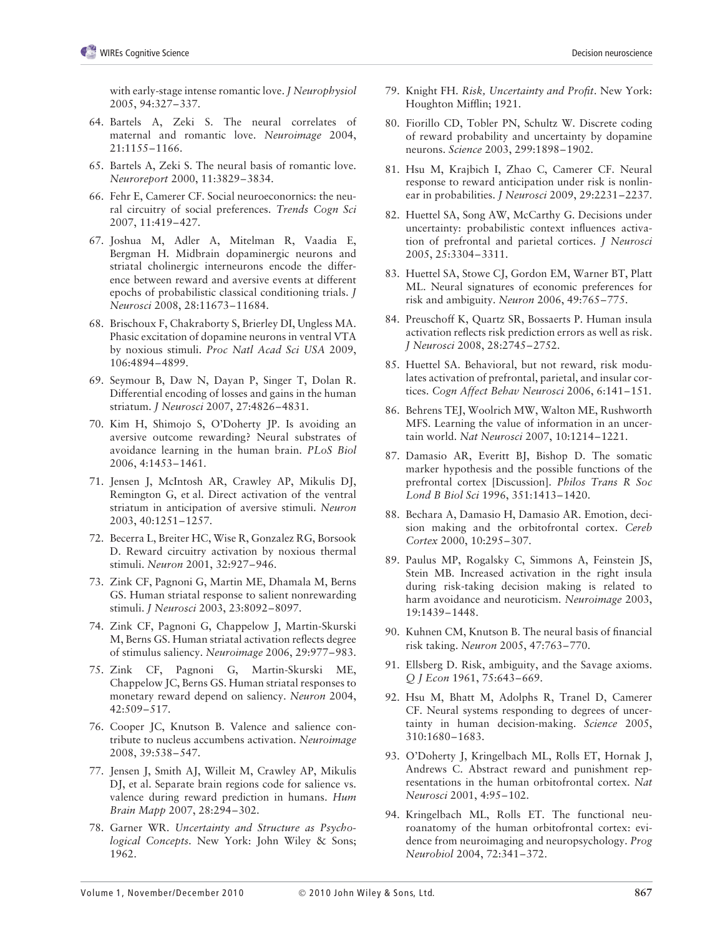with early-stage intense romantic love. *J Neurophysiol* 2005, 94:327–337.

- 64. Bartels A, Zeki S. The neural correlates of maternal and romantic love. *Neuroimage* 2004, 21:1155–1166.
- 65. Bartels A, Zeki S. The neural basis of romantic love. *Neuroreport* 2000, 11:3829–3834.
- 66. Fehr E, Camerer CF. Social neuroeconornics: the neural circuitry of social preferences. *Trends Cogn Sci* 2007, 11:419–427.
- 67. Joshua M, Adler A, Mitelman R, Vaadia E, Bergman H. Midbrain dopaminergic neurons and striatal cholinergic interneurons encode the difference between reward and aversive events at different epochs of probabilistic classical conditioning trials. *J Neurosci* 2008, 28:11673–11684.
- 68. Brischoux F, Chakraborty S, Brierley DI, Ungless MA. Phasic excitation of dopamine neurons in ventral VTA by noxious stimuli. *Proc Natl Acad Sci USA* 2009, 106:4894–4899.
- 69. Seymour B, Daw N, Dayan P, Singer T, Dolan R. Differential encoding of losses and gains in the human striatum. *J Neurosci* 2007, 27:4826–4831.
- 70. Kim H, Shimojo S, O'Doherty JP. Is avoiding an aversive outcome rewarding? Neural substrates of avoidance learning in the human brain. *PLoS Biol* 2006, 4:1453–1461.
- 71. Jensen J, McIntosh AR, Crawley AP, Mikulis DJ, Remington G, et al. Direct activation of the ventral striatum in anticipation of aversive stimuli. *Neuron* 2003, 40:1251–1257.
- 72. Becerra L, Breiter HC, Wise R, Gonzalez RG, Borsook D. Reward circuitry activation by noxious thermal stimuli. *Neuron* 2001, 32:927–946.
- 73. Zink CF, Pagnoni G, Martin ME, Dhamala M, Berns GS. Human striatal response to salient nonrewarding stimuli. *J Neurosci* 2003, 23:8092–8097.
- 74. Zink CF, Pagnoni G, Chappelow J, Martin-Skurski M, Berns GS. Human striatal activation reflects degree of stimulus saliency. *Neuroimage* 2006, 29:977–983.
- 75. Zink CF, Pagnoni G, Martin-Skurski ME, Chappelow JC, Berns GS. Human striatal responses to monetary reward depend on saliency. *Neuron* 2004, 42:509–517.
- 76. Cooper JC, Knutson B. Valence and salience contribute to nucleus accumbens activation. *Neuroimage* 2008, 39:538–547.
- 77. Jensen J, Smith AJ, Willeit M, Crawley AP, Mikulis DJ, et al. Separate brain regions code for salience vs. valence during reward prediction in humans. *Hum Brain Mapp* 2007, 28:294–302.
- 78. Garner WR. *Uncertainty and Structure as Psychological Concepts*. New York: John Wiley & Sons; 1962.
- 79. Knight FH. *Risk, Uncertainty and Profit*. New York: Houghton Mifflin; 1921.
- 80. Fiorillo CD, Tobler PN, Schultz W. Discrete coding of reward probability and uncertainty by dopamine neurons. *Science* 2003, 299:1898–1902.
- 81. Hsu M, Krajbich I, Zhao C, Camerer CF. Neural response to reward anticipation under risk is nonlinear in probabilities. *J Neurosci* 2009, 29:2231–2237.
- 82. Huettel SA, Song AW, McCarthy G. Decisions under uncertainty: probabilistic context influences activation of prefrontal and parietal cortices. *J Neurosci* 2005, 25:3304–3311.
- 83. Huettel SA, Stowe CJ, Gordon EM, Warner BT, Platt ML. Neural signatures of economic preferences for risk and ambiguity. *Neuron* 2006, 49:765–775.
- 84. Preuschoff K, Quartz SR, Bossaerts P. Human insula activation reflects risk prediction errors as well as risk. *J Neurosci* 2008, 28:2745–2752.
- 85. Huettel SA. Behavioral, but not reward, risk modulates activation of prefrontal, parietal, and insular cortices. *Cogn Affect Behav Neurosci* 2006, 6:141–151.
- 86. Behrens TEJ, Woolrich MW, Walton ME, Rushworth MFS. Learning the value of information in an uncertain world. *Nat Neurosci* 2007, 10:1214–1221.
- 87. Damasio AR, Everitt BJ, Bishop D. The somatic marker hypothesis and the possible functions of the prefrontal cortex [Discussion]. *Philos Trans R Soc Lond B Biol Sci* 1996, 351:1413–1420.
- 88. Bechara A, Damasio H, Damasio AR. Emotion, decision making and the orbitofrontal cortex. *Cereb Cortex* 2000, 10:295–307.
- 89. Paulus MP, Rogalsky C, Simmons A, Feinstein JS, Stein MB. Increased activation in the right insula during risk-taking decision making is related to harm avoidance and neuroticism. *Neuroimage* 2003, 19:1439–1448.
- 90. Kuhnen CM, Knutson B. The neural basis of financial risk taking. *Neuron* 2005, 47:763–770.
- 91. Ellsberg D. Risk, ambiguity, and the Savage axioms. *Q J Econ* 1961, 75:643–669.
- 92. Hsu M, Bhatt M, Adolphs R, Tranel D, Camerer CF. Neural systems responding to degrees of uncertainty in human decision-making. *Science* 2005, 310:1680–1683.
- 93. O'Doherty J, Kringelbach ML, Rolls ET, Hornak J, Andrews C. Abstract reward and punishment representations in the human orbitofrontal cortex. *Nat Neurosci* 2001, 4:95–102.
- 94. Kringelbach ML, Rolls ET. The functional neuroanatomy of the human orbitofrontal cortex: evidence from neuroimaging and neuropsychology. *Prog Neurobiol* 2004, 72:341–372.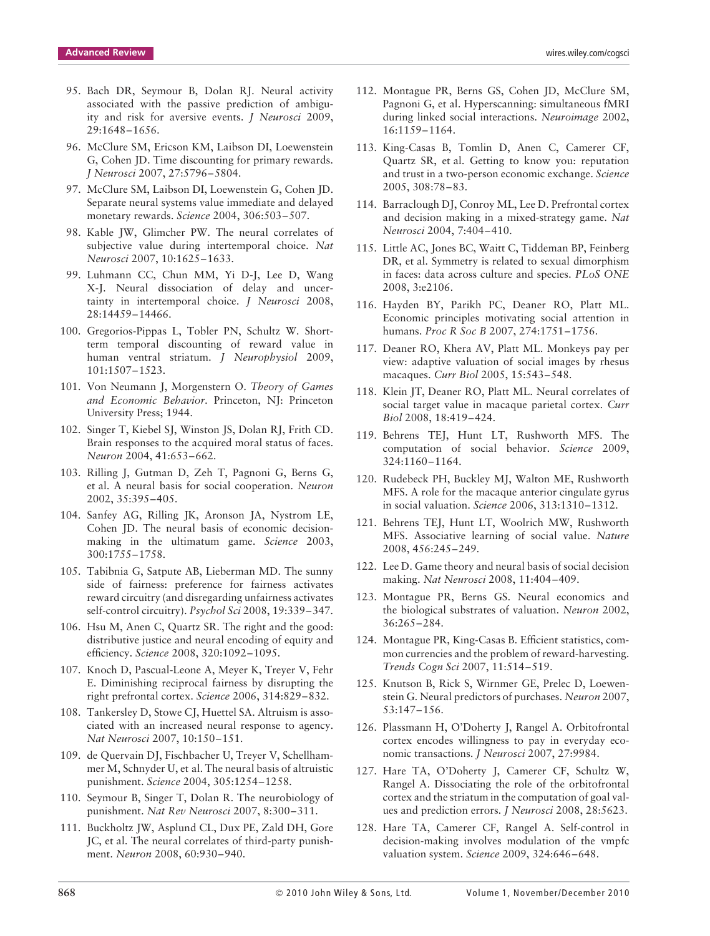- 95. Bach DR, Seymour B, Dolan RJ. Neural activity associated with the passive prediction of ambiguity and risk for aversive events. *J Neurosci* 2009, 29:1648–1656.
- 96. McClure SM, Ericson KM, Laibson DI, Loewenstein G, Cohen JD. Time discounting for primary rewards. *J Neurosci* 2007, 27:5796–5804.
- 97. McClure SM, Laibson DI, Loewenstein G, Cohen JD. Separate neural systems value immediate and delayed monetary rewards. *Science* 2004, 306:503–507.
- 98. Kable JW, Glimcher PW. The neural correlates of subjective value during intertemporal choice. *Nat Neurosci* 2007, 10:1625–1633.
- 99. Luhmann CC, Chun MM, Yi D-J, Lee D, Wang X-J. Neural dissociation of delay and uncertainty in intertemporal choice. *J Neurosci* 2008, 28:14459–14466.
- 100. Gregorios-Pippas L, Tobler PN, Schultz W. Shortterm temporal discounting of reward value in human ventral striatum. *J Neurophysiol* 2009, 101:1507–1523.
- 101. Von Neumann J, Morgenstern O. *Theory of Games and Economic Behavior*. Princeton, NJ: Princeton University Press; 1944.
- 102. Singer T, Kiebel SJ, Winston JS, Dolan RJ, Frith CD. Brain responses to the acquired moral status of faces. *Neuron* 2004, 41:653–662.
- 103. Rilling J, Gutman D, Zeh T, Pagnoni G, Berns G, et al. A neural basis for social cooperation. *Neuron* 2002, 35:395–405.
- 104. Sanfey AG, Rilling JK, Aronson JA, Nystrom LE, Cohen JD. The neural basis of economic decisionmaking in the ultimatum game. *Science* 2003, 300:1755–1758.
- 105. Tabibnia G, Satpute AB, Lieberman MD. The sunny side of fairness: preference for fairness activates reward circuitry (and disregarding unfairness activates self-control circuitry). *Psychol Sci* 2008, 19:339–347.
- 106. Hsu M, Anen C, Quartz SR. The right and the good: distributive justice and neural encoding of equity and efficiency. *Science* 2008, 320:1092–1095.
- 107. Knoch D, Pascual-Leone A, Meyer K, Treyer V, Fehr E. Diminishing reciprocal fairness by disrupting the right prefrontal cortex. *Science* 2006, 314:829–832.
- 108. Tankersley D, Stowe CJ, Huettel SA. Altruism is associated with an increased neural response to agency. *Nat Neurosci* 2007, 10:150–151.
- 109. de Quervain DJ, Fischbacher U, Treyer V, Schellhammer M, Schnyder U, et al. The neural basis of altruistic punishment. *Science* 2004, 305:1254–1258.
- 110. Seymour B, Singer T, Dolan R. The neurobiology of punishment. *Nat Rev Neurosci* 2007, 8:300–311.
- 111. Buckholtz JW, Asplund CL, Dux PE, Zald DH, Gore JC, et al. The neural correlates of third-party punishment. *Neuron* 2008, 60:930–940.
- 112. Montague PR, Berns GS, Cohen JD, McClure SM, Pagnoni G, et al. Hyperscanning: simultaneous fMRI during linked social interactions. *Neuroimage* 2002, 16:1159–1164.
- 113. King-Casas B, Tomlin D, Anen C, Camerer CF, Quartz SR, et al. Getting to know you: reputation and trust in a two-person economic exchange. *Science* 2005, 308:78–83.
- 114. Barraclough DJ, Conroy ML, Lee D. Prefrontal cortex and decision making in a mixed-strategy game. *Nat Neurosci* 2004, 7:404–410.
- 115. Little AC, Jones BC, Waitt C, Tiddeman BP, Feinberg DR, et al. Symmetry is related to sexual dimorphism in faces: data across culture and species. *PLoS ONE* 2008, 3:e2106.
- 116. Hayden BY, Parikh PC, Deaner RO, Platt ML. Economic principles motivating social attention in humans. *Proc R Soc B* 2007, 274:1751–1756.
- 117. Deaner RO, Khera AV, Platt ML. Monkeys pay per view: adaptive valuation of social images by rhesus macaques. *Curr Biol* 2005, 15:543–548.
- 118. Klein JT, Deaner RO, Platt ML. Neural correlates of social target value in macaque parietal cortex. *Curr Biol* 2008, 18:419–424.
- 119. Behrens TEJ, Hunt LT, Rushworth MFS. The computation of social behavior. *Science* 2009, 324:1160–1164.
- 120. Rudebeck PH, Buckley MJ, Walton ME, Rushworth MFS. A role for the macaque anterior cingulate gyrus in social valuation. *Science* 2006, 313:1310–1312.
- 121. Behrens TEJ, Hunt LT, Woolrich MW, Rushworth MFS. Associative learning of social value. *Nature* 2008, 456:245–249.
- 122. Lee D. Game theory and neural basis of social decision making. *Nat Neurosci* 2008, 11:404–409.
- 123. Montague PR, Berns GS. Neural economics and the biological substrates of valuation. *Neuron* 2002, 36:265–284.
- 124. Montague PR, King-Casas B. Efficient statistics, common currencies and the problem of reward-harvesting. *Trends Cogn Sci* 2007, 11:514–519.
- 125. Knutson B, Rick S, Wirnmer GE, Prelec D, Loewenstein G. Neural predictors of purchases. *Neuron* 2007, 53:147–156.
- 126. Plassmann H, O'Doherty J, Rangel A. Orbitofrontal cortex encodes willingness to pay in everyday economic transactions. *J Neurosci* 2007, 27:9984.
- 127. Hare TA, O'Doherty J, Camerer CF, Schultz W, Rangel A. Dissociating the role of the orbitofrontal cortex and the striatum in the computation of goal values and prediction errors. *J Neurosci* 2008, 28:5623.
- 128. Hare TA, Camerer CF, Rangel A. Self-control in decision-making involves modulation of the vmpfc valuation system. *Science* 2009, 324:646–648.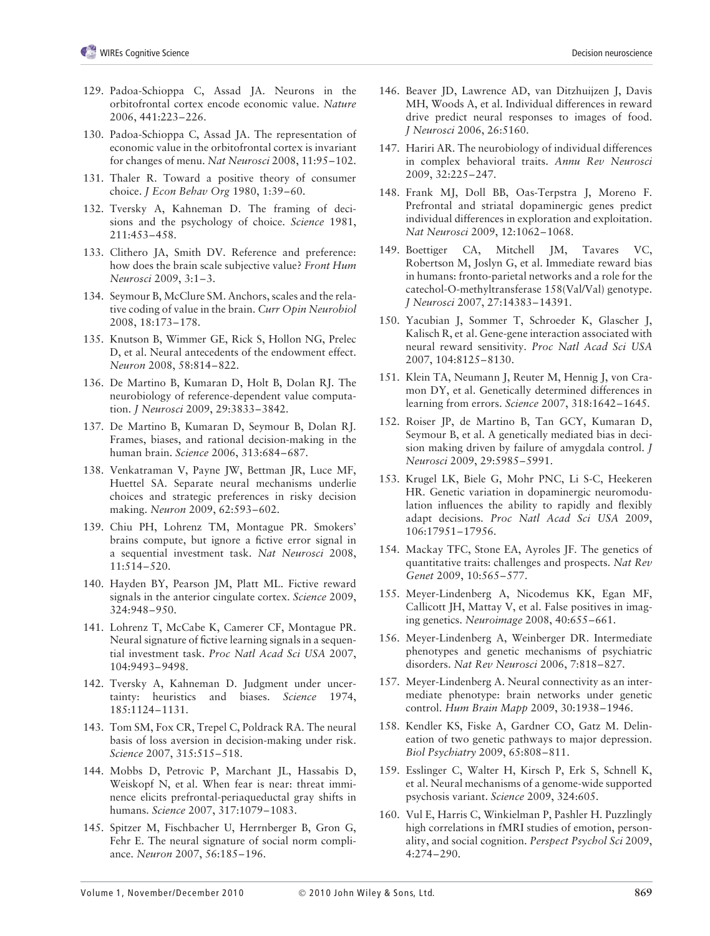- 129. Padoa-Schioppa C, Assad JA. Neurons in the orbitofrontal cortex encode economic value. *Nature* 2006, 441:223–226.
- 130. Padoa-Schioppa C, Assad JA. The representation of economic value in the orbitofrontal cortex is invariant for changes of menu. *Nat Neurosci* 2008, 11:95–102.
- 131. Thaler R. Toward a positive theory of consumer choice. *J Econ Behav Org* 1980, 1:39–60.
- 132. Tversky A, Kahneman D. The framing of decisions and the psychology of choice. *Science* 1981, 211:453–458.
- 133. Clithero JA, Smith DV. Reference and preference: how does the brain scale subjective value? *Front Hum Neurosci* 2009, 3:1–3.
- 134. Seymour B, McClure SM. Anchors, scales and the relative coding of value in the brain. *Curr Opin Neurobiol* 2008, 18:173–178.
- 135. Knutson B, Wimmer GE, Rick S, Hollon NG, Prelec D, et al. Neural antecedents of the endowment effect. *Neuron* 2008, 58:814–822.
- 136. De Martino B, Kumaran D, Holt B, Dolan RJ. The neurobiology of reference-dependent value computation. *J Neurosci* 2009, 29:3833–3842.
- 137. De Martino B, Kumaran D, Seymour B, Dolan RJ. Frames, biases, and rational decision-making in the human brain. *Science* 2006, 313:684–687.
- 138. Venkatraman V, Payne JW, Bettman JR, Luce MF, Huettel SA. Separate neural mechanisms underlie choices and strategic preferences in risky decision making. *Neuron* 2009, 62:593–602.
- 139. Chiu PH, Lohrenz TM, Montague PR. Smokers' brains compute, but ignore a fictive error signal in a sequential investment task. *Nat Neurosci* 2008, 11:514–520.
- 140. Hayden BY, Pearson JM, Platt ML. Fictive reward signals in the anterior cingulate cortex. *Science* 2009, 324:948–950.
- 141. Lohrenz T, McCabe K, Camerer CF, Montague PR. Neural signature of fictive learning signals in a sequential investment task. *Proc Natl Acad Sci USA* 2007, 104:9493–9498.
- 142. Tversky A, Kahneman D. Judgment under uncertainty: heuristics and biases. *Science* 1974, 185:1124–1131.
- 143. Tom SM, Fox CR, Trepel C, Poldrack RA. The neural basis of loss aversion in decision-making under risk. *Science* 2007, 315:515–518.
- 144. Mobbs D, Petrovic P, Marchant JL, Hassabis D, Weiskopf N, et al. When fear is near: threat imminence elicits prefrontal-periaqueductal gray shifts in humans. *Science* 2007, 317:1079–1083.
- 145. Spitzer M, Fischbacher U, Herrnberger B, Gron G, Fehr E. The neural signature of social norm compliance. *Neuron* 2007, 56:185–196.
- 146. Beaver JD, Lawrence AD, van Ditzhuijzen J, Davis MH, Woods A, et al. Individual differences in reward drive predict neural responses to images of food. *J Neurosci* 2006, 26:5160.
- 147. Hariri AR. The neurobiology of individual differences in complex behavioral traits. *Annu Rev Neurosci* 2009, 32:225–247.
- 148. Frank MJ, Doll BB, Oas-Terpstra J, Moreno F. Prefrontal and striatal dopaminergic genes predict individual differences in exploration and exploitation. *Nat Neurosci* 2009, 12:1062–1068.
- 149. Boettiger CA, Mitchell JM, Tavares VC, Robertson M, Joslyn G, et al. Immediate reward bias in humans: fronto-parietal networks and a role for the catechol-O-methyltransferase 158(Val/Val) genotype. *J Neurosci* 2007, 27:14383–14391.
- 150. Yacubian J, Sommer T, Schroeder K, Glascher J, Kalisch R, et al. Gene-gene interaction associated with neural reward sensitivity. *Proc Natl Acad Sci USA* 2007, 104:8125–8130.
- 151. Klein TA, Neumann J, Reuter M, Hennig J, von Cramon DY, et al. Genetically determined differences in learning from errors. *Science* 2007, 318:1642–1645.
- 152. Roiser JP, de Martino B, Tan GCY, Kumaran D, Seymour B, et al. A genetically mediated bias in decision making driven by failure of amygdala control. *J Neurosci* 2009, 29:5985–5991.
- 153. Krugel LK, Biele G, Mohr PNC, Li S-C, Heekeren HR. Genetic variation in dopaminergic neuromodulation influences the ability to rapidly and flexibly adapt decisions. *Proc Natl Acad Sci USA* 2009, 106:17951–17956.
- 154. Mackay TFC, Stone EA, Ayroles JF. The genetics of quantitative traits: challenges and prospects. *Nat Rev Genet* 2009, 10:565–577.
- 155. Meyer-Lindenberg A, Nicodemus KK, Egan MF, Callicott JH, Mattay V, et al. False positives in imaging genetics. *Neuroimage* 2008, 40:655–661.
- 156. Meyer-Lindenberg A, Weinberger DR. Intermediate phenotypes and genetic mechanisms of psychiatric disorders. *Nat Rev Neurosci* 2006, 7:818–827.
- 157. Meyer-Lindenberg A. Neural connectivity as an intermediate phenotype: brain networks under genetic control. *Hum Brain Mapp* 2009, 30:1938–1946.
- 158. Kendler KS, Fiske A, Gardner CO, Gatz M. Delineation of two genetic pathways to major depression. *Biol Psychiatry* 2009, 65:808–811.
- 159. Esslinger C, Walter H, Kirsch P, Erk S, Schnell K, et al. Neural mechanisms of a genome-wide supported psychosis variant. *Science* 2009, 324:605.
- 160. Vul E, Harris C, Winkielman P, Pashler H. Puzzlingly high correlations in fMRI studies of emotion, personality, and social cognition. *Perspect Psychol Sci* 2009, 4:274–290.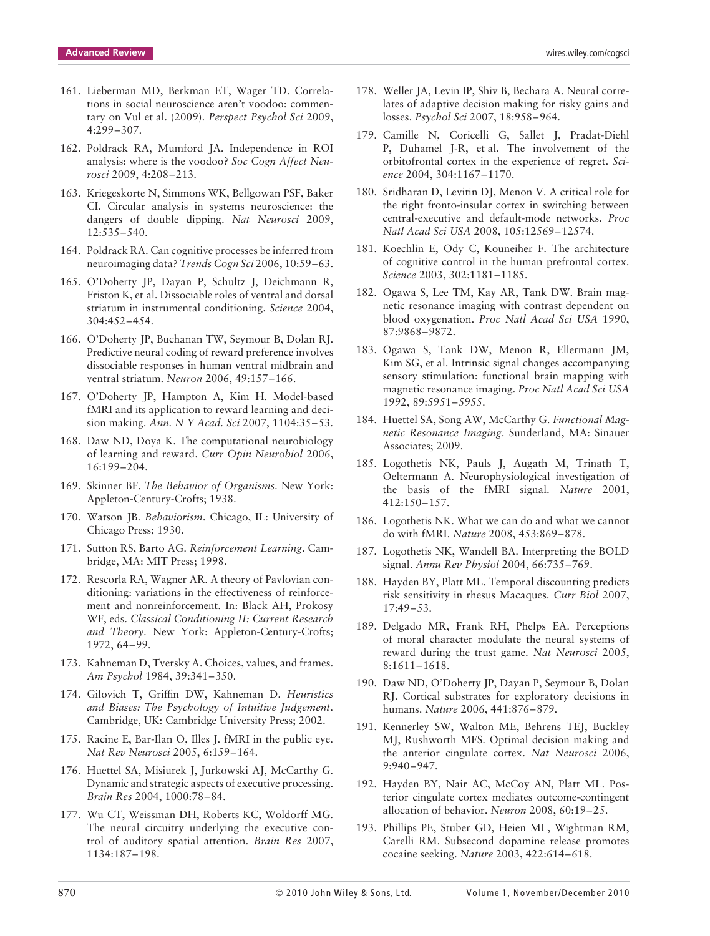- 161. Lieberman MD, Berkman ET, Wager TD. Correlations in social neuroscience aren't voodoo: commentary on Vul et al. (2009). *Perspect Psychol Sci* 2009, 4:299–307.
- 162. Poldrack RA, Mumford JA. Independence in ROI analysis: where is the voodoo? *Soc Cogn Affect Neurosci* 2009, 4:208–213.
- 163. Kriegeskorte N, Simmons WK, Bellgowan PSF, Baker CI. Circular analysis in systems neuroscience: the dangers of double dipping. *Nat Neurosci* 2009, 12:535–540.
- 164. Poldrack RA. Can cognitive processes be inferred from neuroimaging data? *Trends Cogn Sci* 2006, 10:59–63.
- 165. O'Doherty JP, Dayan P, Schultz J, Deichmann R, Friston K, et al. Dissociable roles of ventral and dorsal striatum in instrumental conditioning. *Science* 2004, 304:452–454.
- 166. O'Doherty JP, Buchanan TW, Seymour B, Dolan RJ. Predictive neural coding of reward preference involves dissociable responses in human ventral midbrain and ventral striatum. *Neuron* 2006, 49:157–166.
- 167. O'Doherty JP, Hampton A, Kim H. Model-based fMRI and its application to reward learning and decision making. *Ann. N Y Acad. Sci* 2007, 1104:35–53.
- 168. Daw ND, Doya K. The computational neurobiology of learning and reward. *Curr Opin Neurobiol* 2006, 16:199–204.
- 169. Skinner BF. *The Behavior of Organisms*. New York: Appleton-Century-Crofts; 1938.
- 170. Watson JB. *Behaviorism*. Chicago, IL: University of Chicago Press; 1930.
- 171. Sutton RS, Barto AG. *Reinforcement Learning*. Cambridge, MA: MIT Press; 1998.
- 172. Rescorla RA, Wagner AR. A theory of Pavlovian conditioning: variations in the effectiveness of reinforcement and nonreinforcement. In: Black AH, Prokosy WF, eds. *Classical Conditioning II: Current Research and Theory*. New York: Appleton-Century-Crofts; 1972, 64–99.
- 173. Kahneman D, Tversky A. Choices, values, and frames. *Am Psychol* 1984, 39:341–350.
- 174. Gilovich T, Griffin DW, Kahneman D. *Heuristics and Biases: The Psychology of Intuitive Judgement*. Cambridge, UK: Cambridge University Press; 2002.
- 175. Racine E, Bar-Ilan O, Illes J. fMRI in the public eye. *Nat Rev Neurosci* 2005, 6:159–164.
- 176. Huettel SA, Misiurek J, Jurkowski AJ, McCarthy G. Dynamic and strategic aspects of executive processing. *Brain Res* 2004, 1000:78–84.
- 177. Wu CT, Weissman DH, Roberts KC, Woldorff MG. The neural circuitry underlying the executive control of auditory spatial attention. *Brain Res* 2007, 1134:187–198.
- 178. Weller JA, Levin IP, Shiv B, Bechara A. Neural correlates of adaptive decision making for risky gains and losses. *Psychol Sci* 2007, 18:958–964.
- 179. Camille N, Coricelli G, Sallet J, Pradat-Diehl P, Duhamel J-R, et al. The involvement of the orbitofrontal cortex in the experience of regret. *Science* 2004, 304:1167–1170.
- 180. Sridharan D, Levitin DJ, Menon V. A critical role for the right fronto-insular cortex in switching between central-executive and default-mode networks. *Proc Natl Acad Sci USA* 2008, 105:12569–12574.
- 181. Koechlin E, Ody C, Kouneiher F. The architecture of cognitive control in the human prefrontal cortex. *Science* 2003, 302:1181–1185.
- 182. Ogawa S, Lee TM, Kay AR, Tank DW. Brain magnetic resonance imaging with contrast dependent on blood oxygenation. *Proc Natl Acad Sci USA* 1990, 87:9868–9872.
- 183. Ogawa S, Tank DW, Menon R, Ellermann JM, Kim SG, et al. Intrinsic signal changes accompanying sensory stimulation: functional brain mapping with magnetic resonance imaging. *Proc Natl Acad Sci USA* 1992, 89:5951–5955.
- 184. Huettel SA, Song AW, McCarthy G. *Functional Magnetic Resonance Imaging*. Sunderland, MA: Sinauer Associates; 2009.
- 185. Logothetis NK, Pauls J, Augath M, Trinath T, Oeltermann A. Neurophysiological investigation of the basis of the fMRI signal. *Nature* 2001, 412:150–157.
- 186. Logothetis NK. What we can do and what we cannot do with fMRI. *Nature* 2008, 453:869–878.
- 187. Logothetis NK, Wandell BA. Interpreting the BOLD signal. *Annu Rev Physiol* 2004, 66:735–769.
- 188. Hayden BY, Platt ML. Temporal discounting predicts risk sensitivity in rhesus Macaques. *Curr Biol* 2007, 17:49–53.
- 189. Delgado MR, Frank RH, Phelps EA. Perceptions of moral character modulate the neural systems of reward during the trust game. *Nat Neurosci* 2005, 8:1611–1618.
- 190. Daw ND, O'Doherty JP, Dayan P, Seymour B, Dolan RJ. Cortical substrates for exploratory decisions in humans. *Nature* 2006, 441:876–879.
- 191. Kennerley SW, Walton ME, Behrens TEJ, Buckley MJ, Rushworth MFS. Optimal decision making and the anterior cingulate cortex. *Nat Neurosci* 2006, 9:940–947.
- 192. Hayden BY, Nair AC, McCoy AN, Platt ML. Posterior cingulate cortex mediates outcome-contingent allocation of behavior. *Neuron* 2008, 60:19–25.
- 193. Phillips PE, Stuber GD, Heien ML, Wightman RM, Carelli RM. Subsecond dopamine release promotes cocaine seeking. *Nature* 2003, 422:614–618.